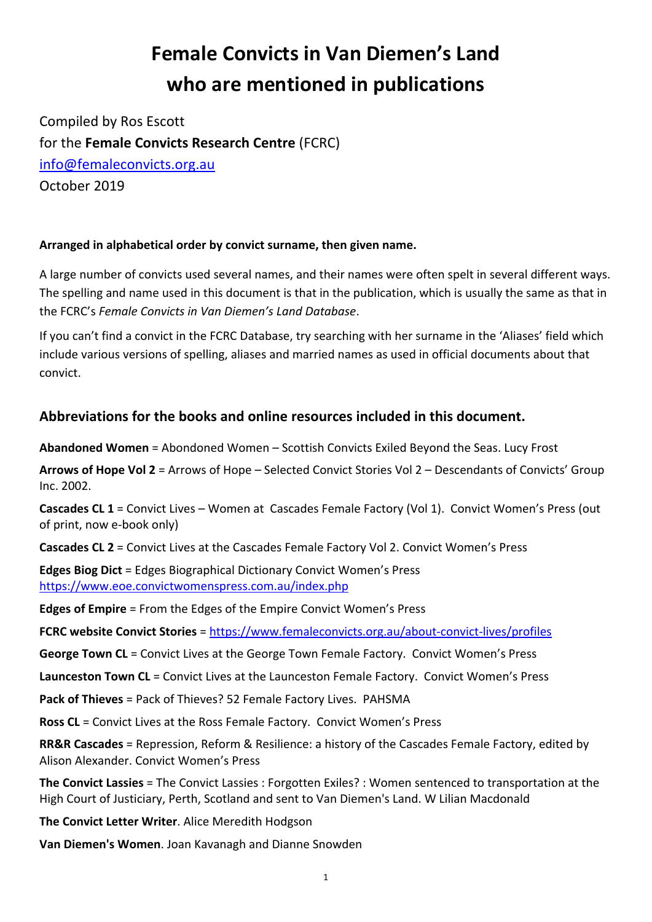## **Female Convicts in Van Diemen's Land who are mentioned in publications**

Compiled by Ros Escott for the **Female Convicts Research Centre** (FCRC) info@femaleconvicts.org.au October 2019

## **Arranged in alphabetical order by convict surname, then given name.**

A large number of convicts used several names, and their names were often spelt in several different ways. The spelling and name used in this document is that in the publication, which is usually the same as that in the FCRC's *Female Convicts in Van Diemen's Land Database*.

If you can't find a convict in the FCRC Database, try searching with her surname in the 'Aliases' field which include various versions of spelling, aliases and married names as used in official documents about that convict.

## **Abbreviations for the books and online resources included in this document.**

**Abandoned Women** = Abondoned Women – Scottish Convicts Exiled Beyond the Seas. Lucy Frost

**Arrows of Hope Vol 2** = Arrows of Hope – Selected Convict Stories Vol 2 – Descendants of Convicts' Group Inc. 2002.

**Cascades CL 1** = Convict Lives – Women at Cascades Female Factory (Vol 1). Convict Women's Press (out of print, now e-book only)

**Cascades CL 2** = Convict Lives at the Cascades Female Factory Vol 2. Convict Women's Press

**Edges Biog Dict** = Edges Biographical Dictionary Convict Women's Press https://www.eoe.convictwomenspress.com.au/index.php

**Edges of Empire** = From the Edges of the Empire Convict Women's Press

**FCRC website Convict Stories** = https://www.femaleconvicts.org.au/about-convict-lives/profiles

**George Town CL** = Convict Lives at the George Town Female Factory. Convict Women's Press

**Launceston Town CL** = Convict Lives at the Launceston Female Factory. Convict Women's Press

**Pack of Thieves** = Pack of Thieves? 52 Female Factory Lives. PAHSMA

**Ross CL** = Convict Lives at the Ross Female Factory. Convict Women's Press

**RR&R Cascades** = Repression, Reform & Resilience: a history of the Cascades Female Factory, edited by Alison Alexander. Convict Women's Press

**The Convict Lassies** = The Convict Lassies : Forgotten Exiles? : Women sentenced to transportation at the High Court of Justiciary, Perth, Scotland and sent to Van Diemen's Land. W Lilian Macdonald

**The Convict Letter Writer**. Alice Meredith Hodgson

**Van Diemen's Women**. Joan Kavanagh and Dianne Snowden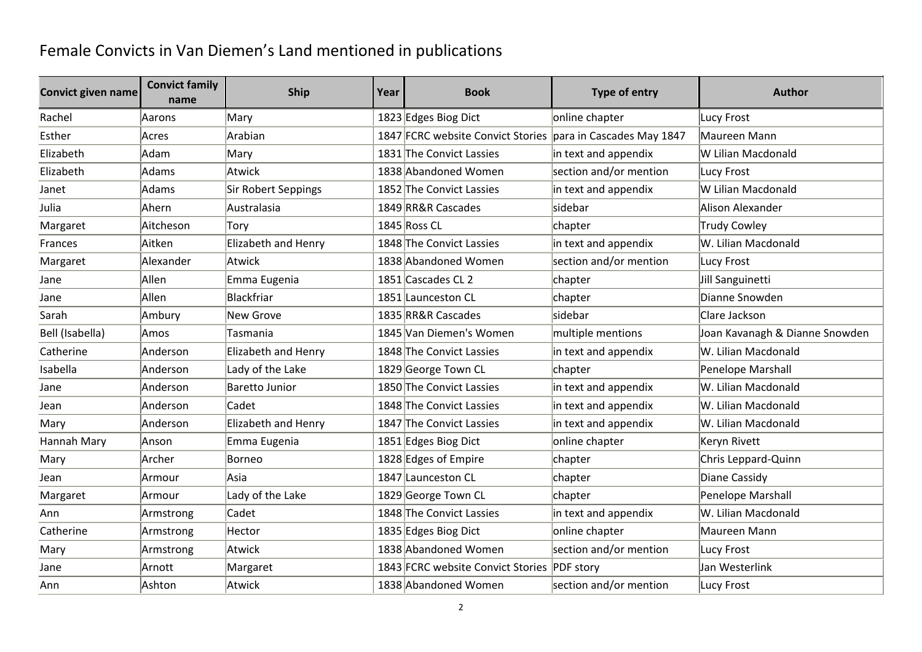## Female Convicts in Van Diemen's Land mentioned in publications

| <b>Convict given name</b> | <b>Convict family</b><br>name | <b>Ship</b>           | Year | <b>Book</b>                                                 | Type of entry          | <b>Author</b>                  |
|---------------------------|-------------------------------|-----------------------|------|-------------------------------------------------------------|------------------------|--------------------------------|
| Rachel                    | Aarons                        | Mary                  |      | 1823 Edges Biog Dict                                        | online chapter         | Lucy Frost                     |
| Esther                    | Acres                         | Arabian               |      | 1847 FCRC website Convict Stories para in Cascades May 1847 |                        | Maureen Mann                   |
| Elizabeth                 | Adam                          | Mary                  |      | 1831 The Convict Lassies                                    | in text and appendix   | W Lilian Macdonald             |
| Elizabeth                 | Adams                         | Atwick                |      | 1838 Abandoned Women                                        | section and/or mention | Lucy Frost                     |
| Janet                     | Adams                         | Sir Robert Seppings   |      | 1852 The Convict Lassies                                    | in text and appendix   | W Lilian Macdonald             |
| Julia                     | Ahern                         | Australasia           |      | 1849 RR&R Cascades                                          | sidebar                | Alison Alexander               |
| Margaret                  | Aitcheson                     | Torv                  |      | 1845 Ross CL                                                | chapter                | Trudy Cowley                   |
| Frances                   | Aitken                        | Elizabeth and Henry   |      | 1848 The Convict Lassies                                    | in text and appendix   | W. Lilian Macdonald            |
| Margaret                  | Alexander                     | Atwick                |      | 1838 Abandoned Women                                        | section and/or mention | Lucy Frost                     |
| Jane                      | Allen                         | Emma Eugenia          |      | 1851 Cascades CL 2                                          | chapter                | Jill Sanguinetti               |
| Jane                      | Allen                         | Blackfriar            |      | 1851 Launceston CL                                          | chapter                | Dianne Snowden                 |
| Sarah                     | Ambury                        | New Grove             |      | 1835 RR&R Cascades                                          | sidebar                | Clare Jackson                  |
| Bell (Isabella)           | Amos                          | Tasmania              |      | 1845 Van Diemen's Women                                     | multiple mentions      | Joan Kavanagh & Dianne Snowden |
| Catherine                 | Anderson                      | Elizabeth and Henry   |      | 1848 The Convict Lassies                                    | in text and appendix   | W. Lilian Macdonald            |
| Isabella                  | Anderson                      | Lady of the Lake      |      | 1829 George Town CL                                         | chapter                | Penelope Marshall              |
| Jane                      | Anderson                      | <b>Baretto Junior</b> |      | 1850 The Convict Lassies                                    | in text and appendix   | W. Lilian Macdonald            |
| Jean                      | Anderson                      | Cadet                 |      | 1848 The Convict Lassies                                    | in text and appendix   | W. Lilian Macdonald            |
| Mary                      | Anderson                      | Elizabeth and Henry   |      | 1847 The Convict Lassies                                    | in text and appendix   | W. Lilian Macdonald            |
| Hannah Mary               | Anson                         | Emma Eugenia          |      | 1851 Edges Biog Dict                                        | online chapter         | Keryn Rivett                   |
| Mary                      | Archer                        | Borneo                |      | 1828 Edges of Empire                                        | chapter                | Chris Leppard-Quinn            |
| Jean                      | Armour                        | Asia                  |      | 1847 Launceston CL                                          | chapter                | Diane Cassidy                  |
| Margaret                  | Armour                        | Lady of the Lake      |      | 1829 George Town CL                                         | chapter                | Penelope Marshall              |
| Ann                       | Armstrong                     | Cadet                 |      | 1848 The Convict Lassies                                    | in text and appendix   | W. Lilian Macdonald            |
| Catherine                 | Armstrong                     | Hector                |      | 1835 Edges Biog Dict                                        | online chapter         | Maureen Mann                   |
| Mary                      | Armstrong                     | Atwick                |      | 1838 Abandoned Women                                        | section and/or mention | Lucy Frost                     |
| Jane                      | Arnott                        | Margaret              |      | 1843 FCRC website Convict Stories PDF story                 |                        | Jan Westerlink                 |
| Ann                       | Ashton                        | Atwick                |      | 1838 Abandoned Women                                        | section and/or mention | Lucy Frost                     |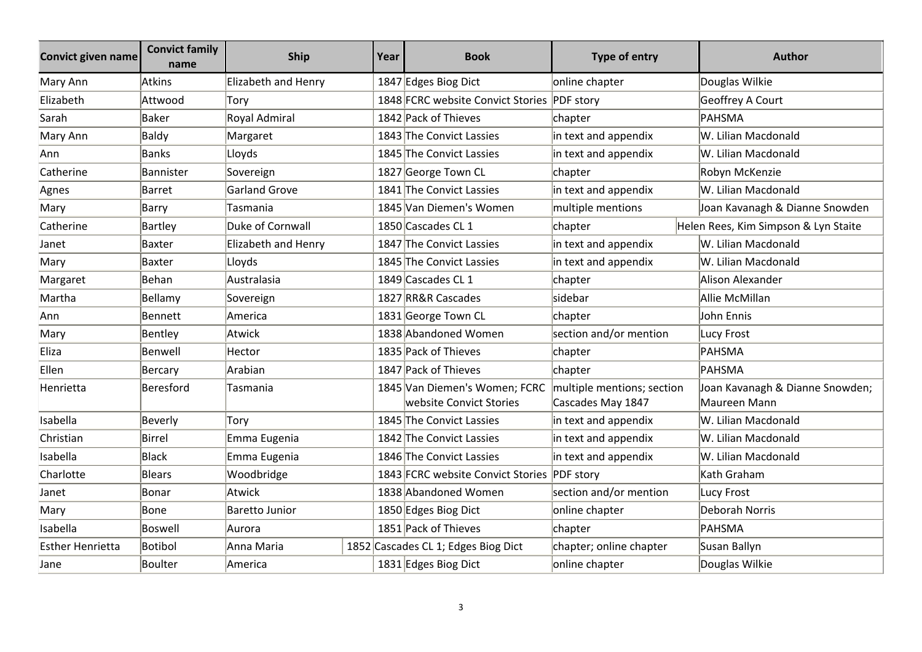| <b>Convict given name</b> | <b>Convict family</b><br>name | <b>Ship</b>          | Year | <b>Book</b>                                              | <b>Type of entry</b>                            | <b>Author</b>                                   |
|---------------------------|-------------------------------|----------------------|------|----------------------------------------------------------|-------------------------------------------------|-------------------------------------------------|
| Mary Ann                  | Atkins                        | Elizabeth and Henry  |      | 1847 Edges Biog Dict                                     | online chapter                                  | Douglas Wilkie                                  |
| Elizabeth                 | Attwood                       | Torv                 |      | 1848 FCRC website Convict Stories PDF story              |                                                 | Geoffrey A Court                                |
| Sarah                     | Baker                         | Royal Admiral        |      | 1842 Pack of Thieves                                     | chapter                                         | PAHSMA                                          |
| Mary Ann                  | Baldy                         | Margaret             |      | 1843 The Convict Lassies                                 | in text and appendix                            | W. Lilian Macdonald                             |
| Ann                       | Banks                         | Lloyds               |      | 1845 The Convict Lassies                                 | in text and appendix                            | W. Lilian Macdonald                             |
| Catherine                 | Bannister                     | Sovereign            |      | 1827 George Town CL                                      | chapter                                         | Robyn McKenzie                                  |
| Agnes                     | Barret                        | <b>Garland Grove</b> |      | 1841 The Convict Lassies                                 | in text and appendix                            | W. Lilian Macdonald                             |
| Mary                      | Barry                         | Tasmania             |      | 1845 Van Diemen's Women                                  | multiple mentions                               | Joan Kavanagh & Dianne Snowden                  |
| Catherine                 | Bartley                       | Duke of Cornwall     |      | 1850 Cascades CL 1                                       | chapter                                         | Helen Rees, Kim Simpson & Lyn Staite            |
| Janet                     | Baxter                        | Elizabeth and Henry  |      | 1847 The Convict Lassies                                 | in text and appendix                            | W. Lilian Macdonald                             |
| Mary                      | Baxter                        | Lloyds               |      | 1845 The Convict Lassies                                 | in text and appendix                            | W. Lilian Macdonald                             |
| Margaret                  | Behan                         | Australasia          |      | 1849 Cascades CL 1                                       | chapter                                         | Alison Alexander                                |
| Martha                    | Bellamy                       | Sovereign            |      | 1827 RR&R Cascades                                       | sidebar                                         | Allie McMillan                                  |
| Ann                       | Bennett                       | America              |      | 1831 George Town CL                                      | chapter                                         | John Ennis                                      |
| Mary                      | Bentley                       | Atwick               |      | 1838 Abandoned Women                                     | section and/or mention                          | Lucy Frost                                      |
| Eliza                     | Benwell                       | Hector               |      | 1835 Pack of Thieves                                     | chapter                                         | PAHSMA                                          |
| Ellen                     | Bercary                       | Arabian              |      | 1847 Pack of Thieves                                     | chapter                                         | PAHSMA                                          |
| Henrietta                 | Beresford                     | Tasmania             |      | 1845 Van Diemen's Women; FCRC<br>website Convict Stories | multiple mentions; section<br>Cascades May 1847 | Joan Kavanagh & Dianne Snowden;<br>Maureen Mann |
| Isabella                  | Beverly                       | Tory                 |      | 1845 The Convict Lassies                                 | in text and appendix                            | W. Lilian Macdonald                             |
| Christian                 | Birrel                        | Emma Eugenia         |      | 1842 The Convict Lassies                                 | in text and appendix                            | W. Lilian Macdonald                             |
| Isabella                  | <b>Black</b>                  | Emma Eugenia         |      | 1846 The Convict Lassies                                 | in text and appendix                            | W. Lilian Macdonald                             |
| Charlotte                 | Blears                        | Woodbridge           |      | 1843 FCRC website Convict Stories PDF story              |                                                 | Kath Graham                                     |
| Janet                     | Bonar                         | Atwick               |      | 1838 Abandoned Women                                     | section and/or mention                          | Lucy Frost                                      |
| Mary                      | Bone                          | Baretto Junior       |      | 1850 Edges Biog Dict                                     | online chapter                                  | Deborah Norris                                  |
| Isabella                  | Boswell                       | Aurora               |      | 1851 Pack of Thieves                                     | chapter                                         | PAHSMA                                          |
| <b>Esther Henrietta</b>   | Botibol                       | Anna Maria           |      | 1852 Cascades CL 1; Edges Biog Dict                      | chapter; online chapter                         | Susan Ballyn                                    |
| Jane                      | Boulter                       | America              |      | 1831 Edges Biog Dict                                     | online chapter                                  | Douglas Wilkie                                  |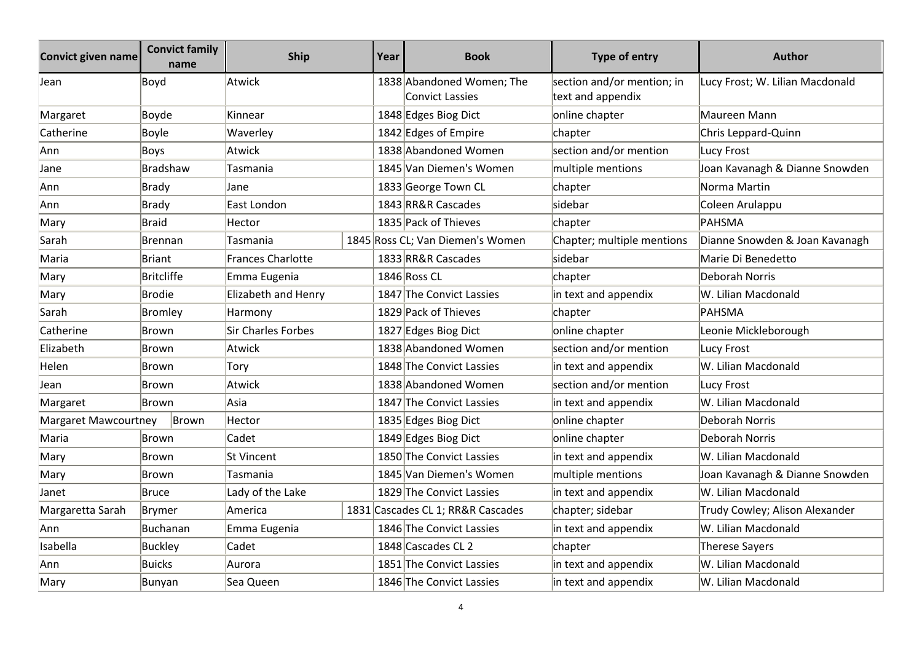| <b>Convict given name</b> | <b>Convict family</b><br>name | <b>Ship</b>         | Year | <b>Book</b>                                         | <b>Type of entry</b>                            | <b>Author</b>                   |
|---------------------------|-------------------------------|---------------------|------|-----------------------------------------------------|-------------------------------------------------|---------------------------------|
| Jean                      | Boyd                          | Atwick              |      | 1838 Abandoned Women; The<br><b>Convict Lassies</b> | section and/or mention; in<br>text and appendix | Lucy Frost; W. Lilian Macdonald |
| Margaret                  | Boyde                         | Kinnear             |      | 1848 Edges Biog Dict                                | online chapter                                  | Maureen Mann                    |
| Catherine                 | Boyle                         | Waverley            |      | 1842 Edges of Empire                                | chapter                                         | Chris Leppard-Quinn             |
| Ann                       | <b>Boys</b>                   | Atwick              |      | 1838 Abandoned Women                                | section and/or mention                          | Lucy Frost                      |
| Jane                      | <b>Bradshaw</b>               | Tasmania            |      | 1845 Van Diemen's Women                             | multiple mentions                               | Joan Kavanagh & Dianne Snowden  |
| Ann                       | <b>Brady</b>                  | Jane                |      | 1833 George Town CL                                 | chapter                                         | Norma Martin                    |
| Ann                       | <b>Brady</b>                  | East London         |      | 1843 RR&R Cascades                                  | sidebar                                         | Coleen Arulappu                 |
| Mary                      | <b>Braid</b>                  | Hector              |      | 1835 Pack of Thieves                                | chapter                                         | PAHSMA                          |
| Sarah                     | Brennan                       | Tasmania            |      | 1845 Ross CL; Van Diemen's Women                    | Chapter; multiple mentions                      | Dianne Snowden & Joan Kavanagh  |
| Maria                     | <b>Briant</b>                 | Frances Charlotte   |      | 1833 RR&R Cascades                                  | lsidebar                                        | Marie Di Benedetto              |
| Mary                      | <b>Britcliffe</b>             | Emma Eugenia        |      | 1846 Ross CL                                        | chapter                                         | Deborah Norris                  |
| Mary                      | <b>Brodie</b>                 | Elizabeth and Henry |      | 1847 The Convict Lassies                            | in text and appendix                            | W. Lilian Macdonald             |
| Sarah                     | <b>Bromley</b>                | Harmony             |      | 1829 Pack of Thieves                                | chapter                                         | PAHSMA                          |
| Catherine                 | Brown                         | Sir Charles Forbes  |      | 1827 Edges Biog Dict                                | online chapter                                  | Leonie Mickleborough            |
| Elizabeth                 | Brown                         | Atwick              |      | 1838 Abandoned Women                                | section and/or mention                          | Lucy Frost                      |
| Helen                     | Brown                         | Tory                |      | 1848 The Convict Lassies                            | in text and appendix                            | W. Lilian Macdonald             |
| Jean                      | Brown                         | Atwick              |      | 1838 Abandoned Women                                | section and/or mention                          | Lucy Frost                      |
| Margaret                  | Brown                         | Asia                |      | 1847 The Convict Lassies                            | in text and appendix                            | W. Lilian Macdonald             |
| Margaret Mawcourtney      | Brown                         | Hector              |      | 1835 Edges Biog Dict                                | online chapter                                  | Deborah Norris                  |
| Maria                     | <b>Brown</b>                  | Cadet               |      | 1849 Edges Biog Dict                                | online chapter                                  | Deborah Norris                  |
| Mary                      | <b>Brown</b>                  | St Vincent          |      | 1850 The Convict Lassies                            | in text and appendix                            | W. Lilian Macdonald             |
| Mary                      | Brown                         | Tasmania            |      | 1845 Van Diemen's Women                             | multiple mentions                               | Joan Kavanagh & Dianne Snowden  |
| Janet                     | <b>Bruce</b>                  | Lady of the Lake    |      | 1829 The Convict Lassies                            | in text and appendix                            | W. Lilian Macdonald             |
| Margaretta Sarah          | Brymer                        | America             |      | 1831 Cascades CL 1; RR&R Cascades                   | chapter; sidebar                                | Trudy Cowley; Alison Alexander  |
| Ann                       | Buchanan                      | Emma Eugenia        |      | 1846 The Convict Lassies                            | in text and appendix                            | W. Lilian Macdonald             |
| Isabella                  | <b>Buckley</b>                | Cadet               |      | 1848 Cascades CL 2                                  | chapter                                         | Therese Sayers                  |
| Ann                       | <b>Buicks</b>                 | Aurora              |      | 1851 The Convict Lassies                            | in text and appendix                            | W. Lilian Macdonald             |
| Mary                      | Bunyan                        | Sea Queen           |      | 1846 The Convict Lassies                            | in text and appendix                            | W. Lilian Macdonald             |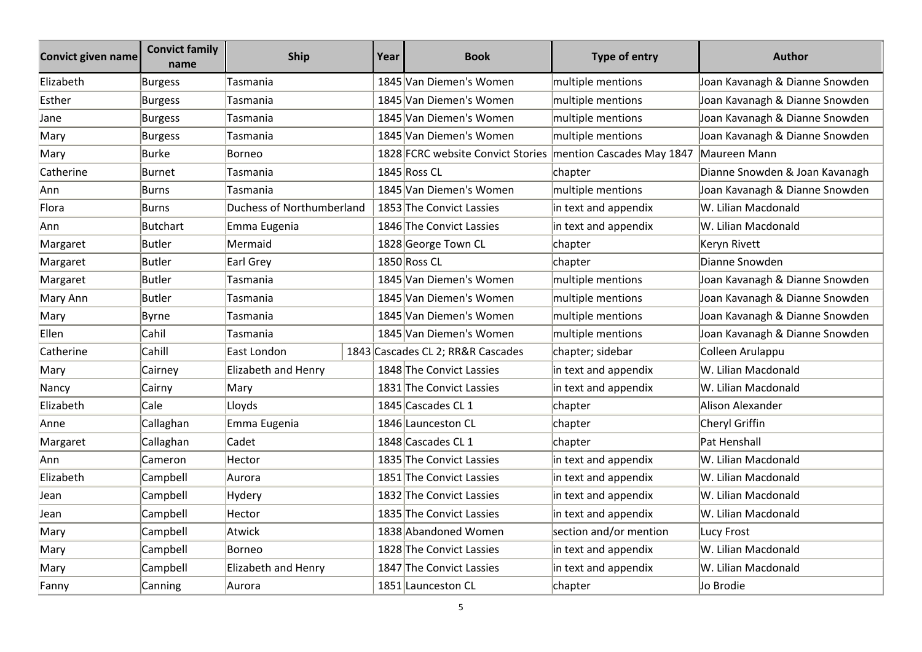| Convict given name | <b>Convict family</b><br>name | <b>Ship</b>               | Year | <b>Book</b>                                                 | Type of entry          | <b>Author</b>                  |
|--------------------|-------------------------------|---------------------------|------|-------------------------------------------------------------|------------------------|--------------------------------|
| Elizabeth          | <b>Burgess</b>                | Tasmania                  |      | 1845 Van Diemen's Women                                     | multiple mentions      | Joan Kavanagh & Dianne Snowden |
| Esther             | <b>Burgess</b>                | Tasmania                  |      | 1845 Van Diemen's Women                                     | multiple mentions      | Joan Kavanagh & Dianne Snowden |
| Jane               | Burgess                       | Tasmania                  |      | 1845 Van Diemen's Women                                     | multiple mentions      | Joan Kavanagh & Dianne Snowden |
| Mary               | <b>Burgess</b>                | Tasmania                  |      | 1845 Van Diemen's Women                                     | multiple mentions      | Joan Kavanagh & Dianne Snowden |
| Mary               | <b>Burke</b>                  | Borneo                    |      | 1828 FCRC website Convict Stories mention Cascades May 1847 |                        | Maureen Mann                   |
| Catherine          | Burnet                        | Tasmania                  |      | 1845 Ross CL                                                | chapter                | Dianne Snowden & Joan Kavanagh |
| Ann                | Burns                         | Tasmania                  |      | 1845 Van Diemen's Women                                     | multiple mentions      | Joan Kavanagh & Dianne Snowden |
| Flora              | Burns                         | Duchess of Northumberland |      | 1853 The Convict Lassies                                    | in text and appendix   | W. Lilian Macdonald            |
| Ann                | Butchart                      | Emma Eugenia              |      | 1846 The Convict Lassies                                    | in text and appendix   | W. Lilian Macdonald            |
| Margaret           | Butler                        | Mermaid                   |      | 1828 George Town CL                                         | chapter                | Keryn Rivett                   |
| Margaret           | Butler                        | Earl Grey                 |      | 1850 Ross CL                                                | chapter                | Dianne Snowden                 |
| Margaret           | Butler                        | Tasmania                  |      | 1845 Van Diemen's Women                                     | multiple mentions      | Joan Kavanagh & Dianne Snowden |
| Mary Ann           | Butler                        | Tasmania                  |      | 1845 Van Diemen's Women                                     | multiple mentions      | Joan Kavanagh & Dianne Snowden |
| Mary               | <b>Byrne</b>                  | Tasmania                  |      | 1845 Van Diemen's Women                                     | multiple mentions      | Joan Kavanagh & Dianne Snowden |
| Ellen              | Cahil                         | Tasmania                  |      | 1845 Van Diemen's Women                                     | multiple mentions      | Joan Kavanagh & Dianne Snowden |
| Catherine          | Cahill                        | East London               |      | 1843 Cascades CL 2; RR&R Cascades                           | chapter; sidebar       | Colleen Arulappu               |
| Mary               | Cairney                       | Elizabeth and Henry       |      | 1848 The Convict Lassies                                    | in text and appendix   | W. Lilian Macdonald            |
| Nancy              | Cairny                        | Mary                      |      | 1831 The Convict Lassies                                    | in text and appendix   | W. Lilian Macdonald            |
| Elizabeth          | Cale                          | Lloyds                    |      | 1845 Cascades CL 1                                          | chapter                | Alison Alexander               |
| Anne               | Callaghan                     | Emma Eugenia              |      | 1846 Launceston CL                                          | chapter                | Cheryl Griffin                 |
| Margaret           | Callaghan                     | Cadet                     |      | 1848 Cascades CL 1                                          | chapter                | Pat Henshall                   |
| Ann                | Cameron                       | Hector                    |      | 1835 The Convict Lassies                                    | in text and appendix   | W. Lilian Macdonald            |
| Elizabeth          | Campbell                      | Aurora                    |      | 1851 The Convict Lassies                                    | in text and appendix   | W. Lilian Macdonald            |
| Jean               | Campbell                      | Hydery                    |      | 1832 The Convict Lassies                                    | in text and appendix   | W. Lilian Macdonald            |
| Jean               | Campbell                      | Hector                    |      | 1835 The Convict Lassies                                    | in text and appendix   | W. Lilian Macdonald            |
| Mary               | Campbell                      | Atwick                    |      | 1838 Abandoned Women                                        | section and/or mention | Lucy Frost                     |
| Mary               | Campbell                      | Borneo                    |      | 1828 The Convict Lassies                                    | in text and appendix   | W. Lilian Macdonald            |
| Mary               | Campbell                      | Elizabeth and Henry       |      | 1847 The Convict Lassies                                    | in text and appendix   | W. Lilian Macdonald            |
| Fanny              | Canning                       | Aurora                    |      | 1851 Launceston CL                                          | chapter                | Jo Brodie                      |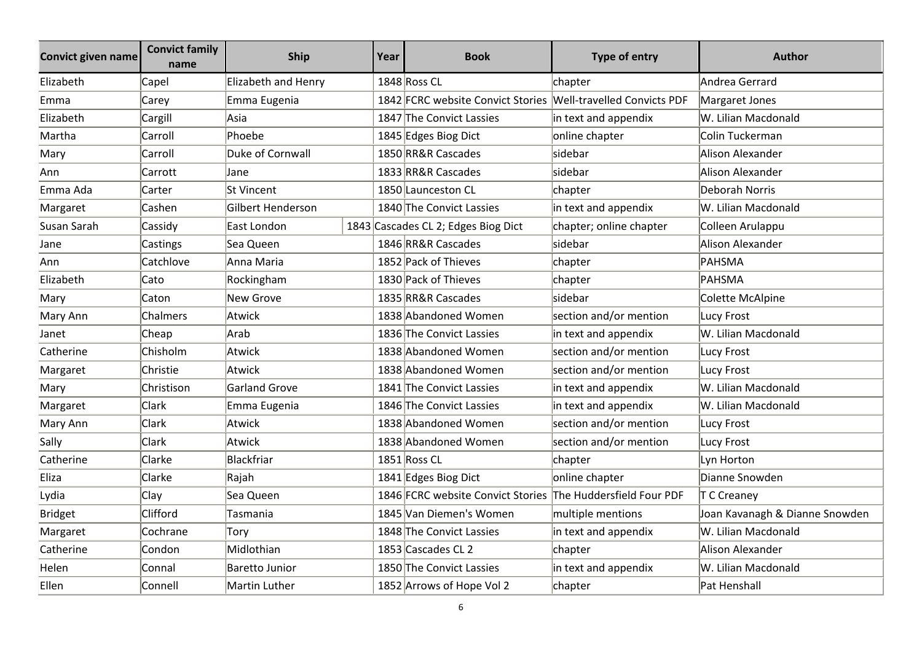| <b>Convict given name</b> | <b>Convict family</b><br>name | <b>Ship</b>         | Year | <b>Book</b>                                                   | Type of entry           | <b>Author</b>                  |
|---------------------------|-------------------------------|---------------------|------|---------------------------------------------------------------|-------------------------|--------------------------------|
| Elizabeth                 | Capel                         | Elizabeth and Henry |      | 1848 Ross CL                                                  | chapter                 | Andrea Gerrard                 |
| Emma                      | Carey                         | Emma Eugenia        |      | 1842 FCRC website Convict Stories Well-travelled Convicts PDF |                         | Margaret Jones                 |
| Elizabeth                 | Cargill                       | Asia                |      | 1847 The Convict Lassies                                      | in text and appendix    | W. Lilian Macdonald            |
| Martha                    | Carroll                       | Phoebe              |      | 1845 Edges Biog Dict                                          | online chapter          | Colin Tuckerman                |
| Mary                      | Carroll                       | Duke of Cornwall    |      | 1850 RR&R Cascades                                            | sidebar                 | Alison Alexander               |
| Ann                       | Carrott                       | Jane                |      | 1833 RR&R Cascades                                            | sidebar                 | Alison Alexander               |
| Emma Ada                  | Carter                        | <b>St Vincent</b>   |      | 1850 Launceston CL                                            | chapter                 | Deborah Norris                 |
| Margaret                  | Cashen                        | Gilbert Henderson   |      | 1840 The Convict Lassies                                      | in text and appendix    | W. Lilian Macdonald            |
| Susan Sarah               | Cassidy                       | East London         |      | 1843 Cascades CL 2; Edges Biog Dict                           | chapter; online chapter | Colleen Arulappu               |
| Jane                      | Castings                      | Sea Queen           |      | 1846 RR&R Cascades                                            | sidebar                 | Alison Alexander               |
| Ann                       | Catchlove                     | Anna Maria          |      | 1852 Pack of Thieves                                          | chapter                 | PAHSMA                         |
| Elizabeth                 | Cato                          | Rockingham          |      | 1830 Pack of Thieves                                          | chapter                 | PAHSMA                         |
| Mary                      | Caton                         | New Grove           |      | 1835 RR&R Cascades                                            | sidebar                 | Colette McAlpine               |
| Mary Ann                  | Chalmers                      | Atwick              |      | 1838 Abandoned Women                                          | section and/or mention  | Lucy Frost                     |
| Janet                     | Cheap                         | Arab                |      | 1836 The Convict Lassies                                      | in text and appendix    | W. Lilian Macdonald            |
| Catherine                 | Chisholm                      | Atwick              |      | 1838 Abandoned Women                                          | section and/or mention  | Lucy Frost                     |
| Margaret                  | Christie                      | Atwick              |      | 1838 Abandoned Women                                          | section and/or mention  | Lucy Frost                     |
| Mary                      | Christison                    | Garland Grove       |      | 1841 The Convict Lassies                                      | in text and appendix    | W. Lilian Macdonald            |
| Margaret                  | Clark                         | Emma Eugenia        |      | 1846 The Convict Lassies                                      | in text and appendix    | W. Lilian Macdonald            |
| Mary Ann                  | Clark                         | Atwick              |      | 1838 Abandoned Women                                          | section and/or mention  | Lucy Frost                     |
| Sally                     | Clark                         | Atwick              |      | 1838 Abandoned Women                                          | section and/or mention  | Lucy Frost                     |
| Catherine                 | Clarke                        | Blackfriar          |      | 1851 Ross CL                                                  | chapter                 | Lyn Horton                     |
| Eliza                     | Clarke                        | Rajah               |      | 1841 Edges Biog Dict                                          | online chapter          | Dianne Snowden                 |
| Lydia                     | Clay                          | Sea Queen           |      | 1846 FCRC website Convict Stories The Huddersfield Four PDF   |                         | T C Creaney                    |
| <b>Bridget</b>            | Clifford                      | Tasmania            |      | 1845 Van Diemen's Women                                       | multiple mentions       | Joan Kavanagh & Dianne Snowden |
| Margaret                  | Cochrane                      | Torv                |      | 1848 The Convict Lassies                                      | in text and appendix    | W. Lilian Macdonald            |
| Catherine                 | Condon                        | Midlothian          |      | 1853 Cascades CL 2                                            | chapter                 | Alison Alexander               |
| Helen                     | Connal                        | Baretto Junior      |      | 1850 The Convict Lassies                                      | in text and appendix    | W. Lilian Macdonald            |
| Ellen                     | Connell                       | Martin Luther       |      | 1852 Arrows of Hope Vol 2                                     | chapter                 | Pat Henshall                   |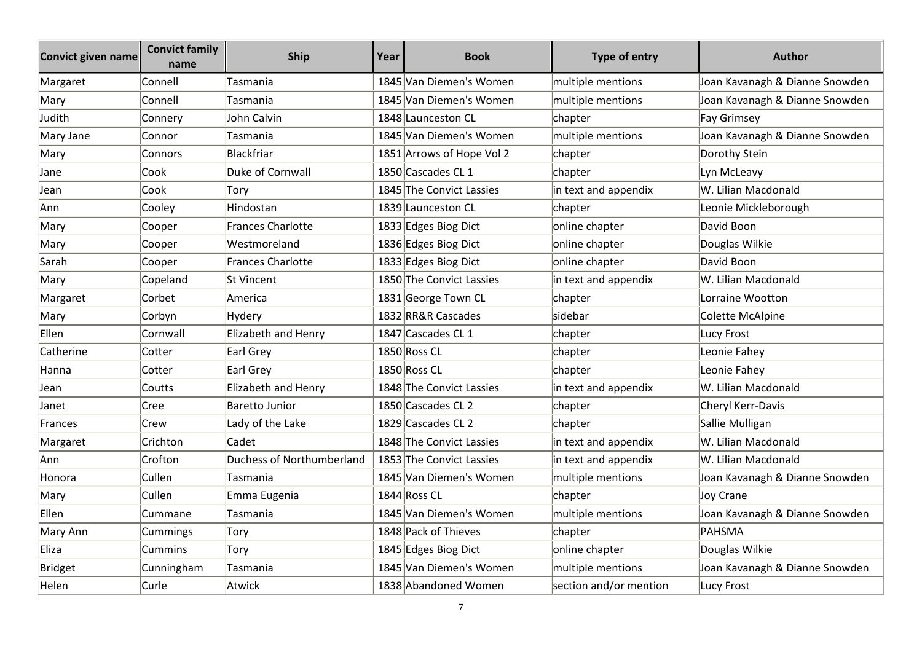| <b>Convict given name</b> | <b>Convict family</b><br>name | Ship                       | Year | <b>Book</b>               | <b>Type of entry</b>   | <b>Author</b>                  |
|---------------------------|-------------------------------|----------------------------|------|---------------------------|------------------------|--------------------------------|
| Margaret                  | Connell                       | Tasmania                   |      | 1845 Van Diemen's Women   | multiple mentions      | Joan Kavanagh & Dianne Snowden |
| Mary                      | Connell                       | Tasmania                   |      | 1845 Van Diemen's Women   | multiple mentions      | Joan Kavanagh & Dianne Snowden |
| Judith                    | Connery                       | John Calvin                |      | 1848 Launceston CL        | chapter                | Fay Grimsey                    |
| Mary Jane                 | Connor                        | Tasmania                   |      | 1845 Van Diemen's Women   | multiple mentions      | Joan Kavanagh & Dianne Snowden |
| Mary                      | Connors                       | Blackfriar                 |      | 1851 Arrows of Hope Vol 2 | chapter                | Dorothy Stein                  |
| Jane                      | Cook                          | Duke of Cornwall           |      | 1850 Cascades CL 1        | chapter                | Lyn McLeavy                    |
| Jean                      | Cook                          | Torv                       |      | 1845 The Convict Lassies  | in text and appendix   | W. Lilian Macdonald            |
| Ann                       | Cooley                        | Hindostan                  |      | 1839 Launceston CL        | chapter                | Leonie Mickleborough           |
| Mary                      | Cooper                        | <b>Frances Charlotte</b>   |      | 1833 Edges Biog Dict      | online chapter         | David Boon                     |
| Mary                      | Cooper                        | Westmoreland               |      | 1836 Edges Biog Dict      | online chapter         | Douglas Wilkie                 |
| Sarah                     | Cooper                        | <b>Frances Charlotte</b>   |      | 1833 Edges Biog Dict      | online chapter         | David Boon                     |
| Mary                      | Copeland                      | lSt Vincent                |      | 1850 The Convict Lassies  | in text and appendix   | W. Lilian Macdonald            |
| Margaret                  | Corbet                        | America                    |      | 1831 George Town CL       | chapter                | Lorraine Wootton               |
| Mary                      | Corbyn                        | <b>Hydery</b>              |      | 1832 RR&R Cascades        | sidebar                | Colette McAlpine               |
| Ellen                     | Cornwall                      | Elizabeth and Henry        |      | 1847 Cascades CL 1        | chapter                | Lucy Frost                     |
| Catherine                 | Cotter                        | Earl Grey                  |      | 1850 Ross CL              | chapter                | Leonie Fahey                   |
| Hanna                     | Cotter                        | Earl Grey                  |      | 1850 Ross CL              | chapter                | Leonie Fahey                   |
| Jean                      | Coutts                        | <b>Elizabeth and Henry</b> |      | 1848 The Convict Lassies  | in text and appendix   | W. Lilian Macdonald            |
| Janet                     | Cree                          | <b>Baretto Junior</b>      |      | 1850 Cascades CL 2        | chapter                | Cheryl Kerr-Davis              |
| Frances                   | Crew                          | Lady of the Lake           |      | 1829 Cascades CL 2        | chapter                | Sallie Mulligan                |
| Margaret                  | Crichton                      | Cadet                      |      | 1848 The Convict Lassies  | in text and appendix   | W. Lilian Macdonald            |
| Ann                       | Crofton                       | Duchess of Northumberland  |      | 1853 The Convict Lassies  | in text and appendix   | W. Lilian Macdonald            |
| Honora                    | Cullen                        | Tasmania                   |      | 1845 Van Diemen's Women   | multiple mentions      | Joan Kavanagh & Dianne Snowden |
| Mary                      | Cullen                        | Emma Eugenia               |      | 1844 Ross CL              | chapter                | Joy Crane                      |
| Ellen                     | Cummane                       | Tasmania                   |      | 1845 Van Diemen's Women   | multiple mentions      | Joan Kavanagh & Dianne Snowden |
| Mary Ann                  | Cummings                      | Tory                       |      | 1848 Pack of Thieves      | chapter                | PAHSMA                         |
| Eliza                     | <b>Cummins</b>                | Tory                       |      | 1845 Edges Biog Dict      | online chapter         | Douglas Wilkie                 |
| Bridget                   | Cunningham                    | Tasmania                   |      | 1845 Van Diemen's Women   | multiple mentions      | Joan Kavanagh & Dianne Snowden |
| Helen                     | Curle                         | Atwick                     |      | 1838 Abandoned Women      | section and/or mention | Lucy Frost                     |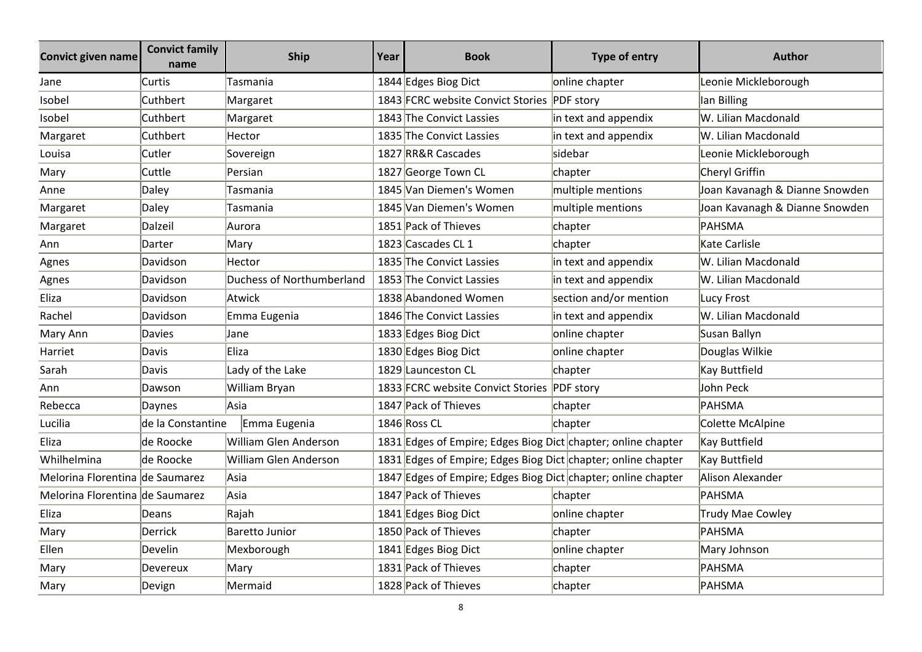| <b>Convict given name</b>       | <b>Convict family</b><br>name | <b>Ship</b>               | Year | <b>Book</b>                                                   | Type of entry          | <b>Author</b>                  |
|---------------------------------|-------------------------------|---------------------------|------|---------------------------------------------------------------|------------------------|--------------------------------|
| Jane                            | Curtis                        | Tasmania                  |      | 1844 Edges Biog Dict                                          | online chapter         | Leonie Mickleborough           |
| Isobel                          | Cuthbert                      | Margaret                  |      | 1843 FCRC website Convict Stories PDF story                   |                        | lan Billing                    |
| Isobel                          | Cuthbert                      | Margaret                  |      | 1843 The Convict Lassies                                      | in text and appendix   | W. Lilian Macdonald            |
| Margaret                        | Cuthbert                      | Hector                    |      | 1835 The Convict Lassies                                      | in text and appendix   | W. Lilian Macdonald            |
| Louisa                          | Cutler                        | Sovereign                 |      | 1827 RR&R Cascades                                            | sidebar                | Leonie Mickleborough           |
| Mary                            | Cuttle                        | Persian                   |      | 1827 George Town CL                                           | chapter                | Cheryl Griffin                 |
| Anne                            | Daley                         | Tasmania                  |      | 1845 Van Diemen's Women                                       | multiple mentions      | Joan Kavanagh & Dianne Snowden |
| Margaret                        | Daley                         | Tasmania                  |      | 1845 Van Diemen's Women                                       | multiple mentions      | Joan Kavanagh & Dianne Snowden |
| Margaret                        | Dalzeil                       | Aurora                    |      | 1851 Pack of Thieves                                          | chapter                | PAHSMA                         |
| Ann                             | Darter                        | Mary                      |      | 1823 Cascades CL 1                                            | chapter                | Kate Carlisle                  |
| Agnes                           | Davidson                      | Hector                    |      | 1835 The Convict Lassies                                      | in text and appendix   | W. Lilian Macdonald            |
| Agnes                           | Davidson                      | Duchess of Northumberland |      | 1853 The Convict Lassies                                      | in text and appendix   | W. Lilian Macdonald            |
| Eliza                           | Davidson                      | Atwick                    |      | 1838 Abandoned Women                                          | section and/or mention | Lucy Frost                     |
| Rachel                          | Davidson                      | Emma Eugenia              |      | 1846 The Convict Lassies                                      | in text and appendix   | W. Lilian Macdonald            |
| Mary Ann                        | Davies                        | Jane                      |      | 1833 Edges Biog Dict                                          | online chapter         | Susan Ballyn                   |
| Harriet                         | Davis                         | Eliza                     |      | 1830 Edges Biog Dict                                          | online chapter         | Douglas Wilkie                 |
| Sarah                           | Davis                         | Lady of the Lake          |      | 1829 Launceston CL                                            | chapter                | Kay Buttfield                  |
| Ann                             | Dawson                        | William Bryan             |      | 1833 FCRC website Convict Stories PDF story                   |                        | John Peck                      |
| Rebecca                         | Daynes                        | Asia                      |      | 1847 Pack of Thieves                                          | chapter                | PAHSMA                         |
| Lucilia                         | de la Constantine             | Emma Eugenia              |      | 1846 Ross CL                                                  | chapter                | Colette McAlpine               |
| Eliza                           | de Roocke                     | William Glen Anderson     |      | 1831 Edges of Empire; Edges Biog Dict chapter; online chapter |                        | Kay Buttfield                  |
| Whilhelmina                     | de Roocke                     | William Glen Anderson     |      | 1831 Edges of Empire; Edges Biog Dict chapter; online chapter |                        | Kay Buttfield                  |
| Melorina Florentina de Saumarez |                               | Asia                      |      | 1847 Edges of Empire; Edges Biog Dict chapter; online chapter |                        | Alison Alexander               |
| Melorina Florentina de Saumarez |                               | Asia                      |      | 1847 Pack of Thieves                                          | chapter                | PAHSMA                         |
| Eliza                           | Deans                         | Rajah                     |      | 1841 Edges Biog Dict                                          | online chapter         | <b>Trudy Mae Cowley</b>        |
| Mary                            | Derrick                       | <b>Baretto Junior</b>     |      | 1850 Pack of Thieves                                          | chapter                | PAHSMA                         |
| Ellen                           | Develin                       | Mexborough                |      | 1841 Edges Biog Dict                                          | online chapter         | Mary Johnson                   |
| Mary                            | Devereux                      | Mary                      |      | 1831 Pack of Thieves                                          | chapter                | PAHSMA                         |
| Mary                            | Devign                        | Mermaid                   |      | 1828 Pack of Thieves                                          | chapter                | PAHSMA                         |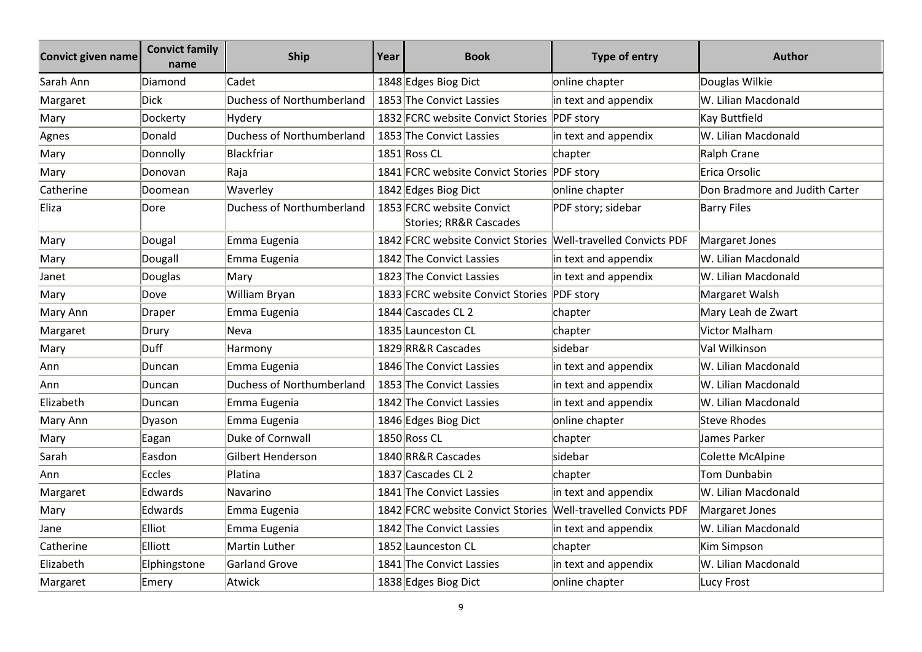| <b>Convict given name</b> | <b>Convict family</b><br>name | <b>Ship</b>               | Year | <b>Book</b>                                                   | Type of entry                      | <b>Author</b>                  |
|---------------------------|-------------------------------|---------------------------|------|---------------------------------------------------------------|------------------------------------|--------------------------------|
| Sarah Ann                 | Diamond                       | Cadet                     |      | 1848 Edges Biog Dict                                          | online chapter                     | Douglas Wilkie                 |
| Margaret                  | <b>Dick</b>                   | Duchess of Northumberland |      | 1853 The Convict Lassies                                      | in text and appendix               | W. Lilian Macdonald            |
| Mary                      | Dockerty                      | Hydery                    |      | 1832 FCRC website Convict Stories PDF story                   |                                    | <b>Kay Buttfield</b>           |
| Agnes                     | Donald                        | Duchess of Northumberland |      | 1853 The Convict Lassies                                      | in text and appendix               | W. Lilian Macdonald            |
| Mary                      | Donnolly                      | Blackfriar                |      | 1851 Ross CL                                                  | chapter                            | Ralph Crane                    |
| Mary                      | Donovan                       | Raja                      |      | 1841 FCRC website Convict Stories PDF story                   |                                    | Erica Orsolic                  |
| Catherine                 | Doomean                       | Waverley                  |      | 1842 Edges Biog Dict                                          | online chapter                     | Don Bradmore and Judith Carter |
| Eliza                     | Dore                          | Duchess of Northumberland |      | 1853 FCRC website Convict<br>Stories; RR&R Cascades           | PDF story; sidebar                 | <b>Barry Files</b>             |
| Mary                      | Dougal                        | Emma Eugenia              |      | 1842 FCRC website Convict Stories                             | <b>Well-travelled Convicts PDF</b> | Margaret Jones                 |
| Mary                      | Dougall                       | Emma Eugenia              |      | 1842 The Convict Lassies                                      | in text and appendix               | W. Lilian Macdonald            |
| Janet                     | Douglas                       | Mary                      |      | 1823 The Convict Lassies                                      | in text and appendix               | W. Lilian Macdonald            |
| Mary                      | Dove                          | William Bryan             |      | 1833 FCRC website Convict Stories PDF story                   |                                    | Margaret Walsh                 |
| Mary Ann                  | Draper                        | Emma Eugenia              |      | 1844 Cascades CL 2                                            | chapter                            | Mary Leah de Zwart             |
| Margaret                  | Drury                         | Neva                      |      | 1835 Launceston CL                                            | chapter                            | Victor Malham                  |
| Mary                      | Duff                          | Harmony                   |      | 1829 RR&R Cascades                                            | sidebar                            | Val Wilkinson                  |
| Ann                       | Duncan                        | Emma Eugenia              |      | 1846 The Convict Lassies                                      | in text and appendix               | W. Lilian Macdonald            |
| Ann                       | Duncan                        | Duchess of Northumberland |      | 1853 The Convict Lassies                                      | in text and appendix               | W. Lilian Macdonald            |
| Elizabeth                 | Duncan                        | Emma Eugenia              |      | 1842 The Convict Lassies                                      | in text and appendix               | W. Lilian Macdonald            |
| Mary Ann                  | Dyason                        | Emma Eugenia              |      | 1846 Edges Biog Dict                                          | online chapter                     | Steve Rhodes                   |
| Mary                      | Eagan                         | Duke of Cornwall          |      | 1850 Ross CL                                                  | chapter                            | James Parker                   |
| Sarah                     | Easdon                        | Gilbert Henderson         |      | 1840 RR&R Cascades                                            | sidebar                            | Colette McAlpine               |
| Ann                       | Eccles                        | Platina                   |      | 1837 Cascades CL 2                                            | chapter                            | Tom Dunbabin                   |
| Margaret                  | Edwards                       | Navarino                  |      | 1841 The Convict Lassies                                      | in text and appendix               | W. Lilian Macdonald            |
| Mary                      | Edwards                       | Emma Eugenia              |      | 1842 FCRC website Convict Stories Well-travelled Convicts PDF |                                    | Margaret Jones                 |
| Jane                      | Elliot                        | Emma Eugenia              |      | 1842 The Convict Lassies                                      | in text and appendix               | W. Lilian Macdonald            |
| Catherine                 | Elliott                       | Martin Luther             |      | 1852 Launceston CL                                            | chapter                            | Kim Simpson                    |
| Elizabeth                 | Elphingstone                  | Garland Grove             |      | 1841 The Convict Lassies                                      | in text and appendix               | W. Lilian Macdonald            |
| Margaret                  | Emery                         | Atwick                    |      | 1838 Edges Biog Dict                                          | online chapter                     | Lucy Frost                     |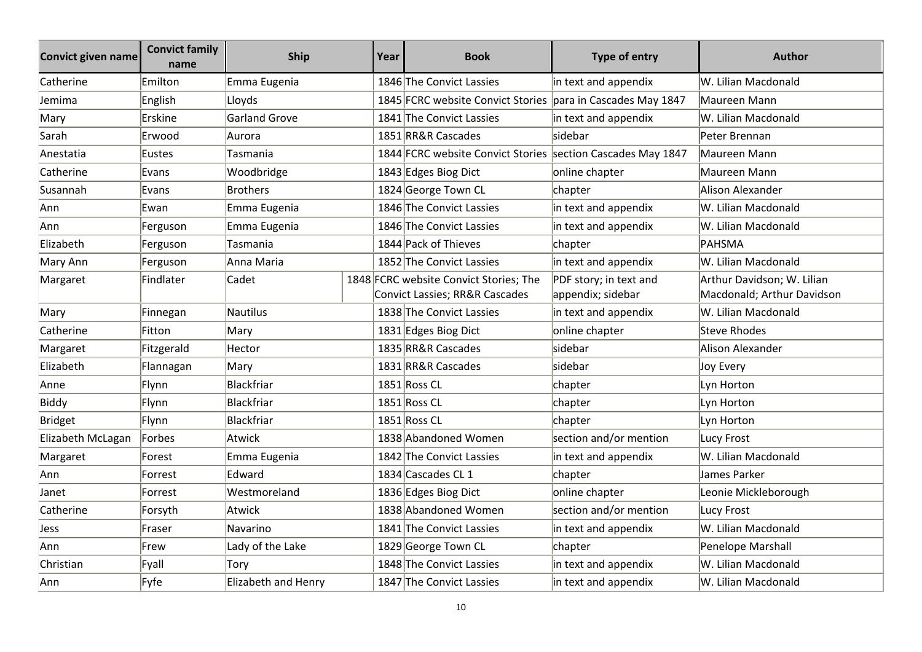| <b>Convict given name</b> | <b>Convict family</b><br>name | <b>Ship</b>          | Year | <b>Book</b>                                                              | Type of entry                               | <b>Author</b>                                            |
|---------------------------|-------------------------------|----------------------|------|--------------------------------------------------------------------------|---------------------------------------------|----------------------------------------------------------|
| Catherine                 | Emilton                       | Emma Eugenia         |      | 1846 The Convict Lassies                                                 | in text and appendix                        | W. Lilian Macdonald                                      |
| Jemima                    | English                       | Lloyds               |      | 1845 FCRC website Convict Stories                                        | para in Cascades May 1847                   | Maureen Mann                                             |
| Mary                      | Erskine                       | <b>Garland Grove</b> |      | 1841 The Convict Lassies                                                 | in text and appendix                        | W. Lilian Macdonald                                      |
| Sarah                     | Erwood                        | Aurora               |      | 1851 RR&R Cascades                                                       | sidebar                                     | Peter Brennan                                            |
| Anestatia                 | Eustes                        | Tasmania             |      | 1844 FCRC website Convict Stories section Cascades May 1847              |                                             | Maureen Mann                                             |
| Catherine                 | Evans                         | Woodbridge           |      | 1843 Edges Biog Dict                                                     | online chapter                              | Maureen Mann                                             |
| Susannah                  | Evans                         | Brothers             |      | 1824 George Town CL                                                      | chapter                                     | Alison Alexander                                         |
| Ann                       | Ewan                          | Emma Eugenia         |      | 1846 The Convict Lassies                                                 | in text and appendix                        | W. Lilian Macdonald                                      |
| Ann                       | Ferguson                      | Emma Eugenia         |      | 1846 The Convict Lassies                                                 | in text and appendix                        | W. Lilian Macdonald                                      |
| Elizabeth                 | Ferguson                      | Tasmania             |      | 1844 Pack of Thieves                                                     | chapter                                     | PAHSMA                                                   |
| Mary Ann                  | Ferguson                      | Anna Maria           |      | 1852 The Convict Lassies                                                 | in text and appendix                        | W. Lilian Macdonald                                      |
| Margaret                  | Findlater                     | Cadet                |      | 1848 FCRC website Convict Stories; The<br>Convict Lassies; RR&R Cascades | PDF story; in text and<br>appendix; sidebar | Arthur Davidson; W. Lilian<br>Macdonald; Arthur Davidson |
| Mary                      | Finnegan                      | Nautilus             |      | 1838 The Convict Lassies                                                 | in text and appendix                        | W. Lilian Macdonald                                      |
| Catherine                 | Fitton                        | Mary                 |      | 1831 Edges Biog Dict                                                     | online chapter                              | <b>Steve Rhodes</b>                                      |
| Margaret                  | Fitzgerald                    | Hector               |      | 1835 RR&R Cascades                                                       | sidebar                                     | Alison Alexander                                         |
| Elizabeth                 | Flannagan                     | Mary                 |      | 1831 RR&R Cascades                                                       | sidebar                                     | Joy Every                                                |
| Anne                      | Flynn                         | Blackfriar           |      | 1851 Ross CL                                                             | chapter                                     | Lyn Horton                                               |
| <b>Biddy</b>              | Flynn                         | Blackfriar           |      | 1851 Ross CL                                                             | chapter                                     | Lyn Horton                                               |
| <b>Bridget</b>            | Flynn                         | Blackfriar           |      | 1851 Ross CL                                                             | chapter                                     | Lyn Horton                                               |
| Elizabeth McLagan         | Forbes                        | Atwick               |      | 1838 Abandoned Women                                                     | section and/or mention                      | Lucy Frost                                               |
| Margaret                  | Forest                        | Emma Eugenia         |      | 1842 The Convict Lassies                                                 | in text and appendix                        | W. Lilian Macdonald                                      |
| Ann                       | Forrest                       | Edward               |      | 1834 Cascades CL 1                                                       | chapter                                     | James Parker                                             |
| Janet                     | Forrest                       | Westmoreland         |      | 1836 Edges Biog Dict                                                     | online chapter                              | Leonie Mickleborough                                     |
| Catherine                 | Forsyth                       | Atwick               |      | 1838 Abandoned Women                                                     | section and/or mention                      | Lucy Frost                                               |
| Jess                      | Fraser                        | Navarino             |      | 1841 The Convict Lassies                                                 | in text and appendix                        | W. Lilian Macdonald                                      |
| Ann                       | Frew                          | Lady of the Lake     |      | 1829 George Town CL                                                      | chapter                                     | Penelope Marshall                                        |
| Christian                 | Fyall                         | Tory                 |      | 1848 The Convict Lassies                                                 | in text and appendix                        | W. Lilian Macdonald                                      |
| Ann                       | Fyfe                          | Elizabeth and Henry  |      | 1847 The Convict Lassies                                                 | in text and appendix                        | W. Lilian Macdonald                                      |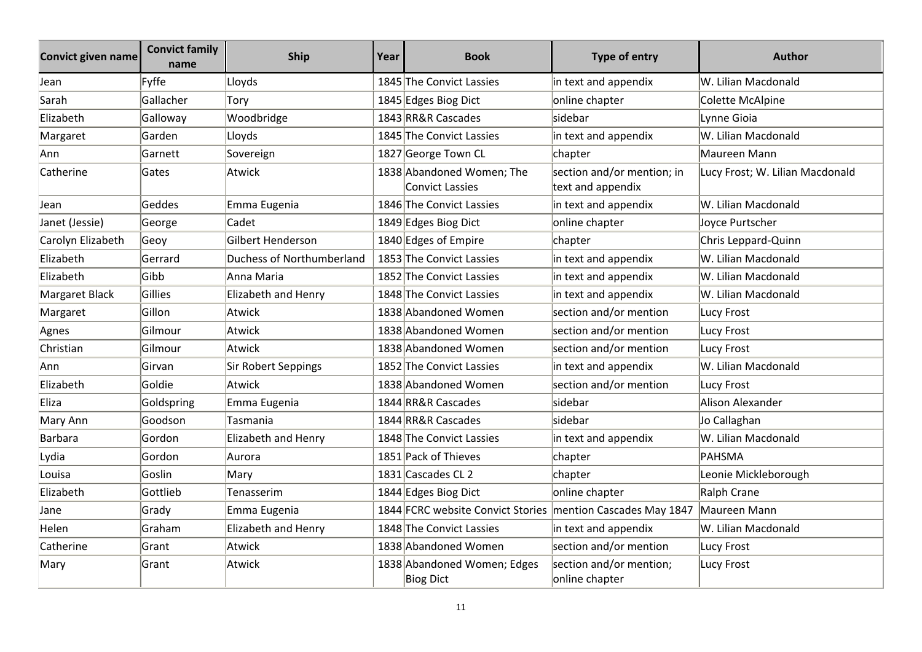| Convict given name | <b>Convict family</b><br>name | <b>Ship</b>               | Year | <b>Book</b>                                                   | <b>Type of entry</b>                            | <b>Author</b>                   |
|--------------------|-------------------------------|---------------------------|------|---------------------------------------------------------------|-------------------------------------------------|---------------------------------|
| Jean               | Fyffe                         | Lloyds                    |      | 1845 The Convict Lassies                                      | in text and appendix                            | W. Lilian Macdonald             |
| Sarah              | Gallacher                     | Tory                      |      | 1845 Edges Biog Dict                                          | online chapter                                  | Colette McAlpine                |
| Elizabeth          | Galloway                      | Woodbridge                |      | 1843 RR&R Cascades                                            | sidebar                                         | Lynne Gioia                     |
| Margaret           | Garden                        | Lloyds                    |      | 1845 The Convict Lassies                                      | in text and appendix                            | W. Lilian Macdonald             |
| Ann                | Garnett                       | Sovereign                 |      | 1827 George Town CL                                           | chapter                                         | Maureen Mann                    |
| Catherine          | Gates                         | Atwick                    |      | 1838 Abandoned Women; The<br><b>Convict Lassies</b>           | section and/or mention; in<br>text and appendix | Lucy Frost; W. Lilian Macdonald |
| Jean               | Geddes                        | Emma Eugenia              |      | 1846 The Convict Lassies                                      | in text and appendix                            | W. Lilian Macdonald             |
| Janet (Jessie)     | George                        | Cadet                     |      | 1849 Edges Biog Dict                                          | online chapter                                  | Joyce Purtscher                 |
| Carolyn Elizabeth  | Geoy                          | Gilbert Henderson         |      | 1840 Edges of Empire                                          | chapter                                         | Chris Leppard-Quinn             |
| Elizabeth          | Gerrard                       | Duchess of Northumberland |      | 1853 The Convict Lassies                                      | in text and appendix                            | W. Lilian Macdonald             |
| Elizabeth          | Gibb                          | Anna Maria                |      | 1852 The Convict Lassies                                      | in text and appendix                            | W. Lilian Macdonald             |
| Margaret Black     | Gillies                       | Elizabeth and Henry       |      | 1848 The Convict Lassies                                      | in text and appendix                            | W. Lilian Macdonald             |
| Margaret           | Gillon                        | Atwick                    |      | 1838 Abandoned Women                                          | section and/or mention                          | <b>Lucy Frost</b>               |
| Agnes              | Gilmour                       | Atwick                    |      | 1838 Abandoned Women                                          | section and/or mention                          | Lucy Frost                      |
| Christian          | Gilmour                       | Atwick                    |      | 1838 Abandoned Women                                          | section and/or mention                          | <b>Lucy Frost</b>               |
| Ann                | Girvan                        | Sir Robert Seppings       |      | 1852 The Convict Lassies                                      | in text and appendix                            | W. Lilian Macdonald             |
| Elizabeth          | Goldie                        | Atwick                    |      | 1838 Abandoned Women                                          | section and/or mention                          | <b>Lucy Frost</b>               |
| Eliza              | Goldspring                    | Emma Eugenia              |      | 1844 RR&R Cascades                                            | sidebar                                         | Alison Alexander                |
| Mary Ann           | Goodson                       | Tasmania                  |      | 1844 RR&R Cascades                                            | sidebar                                         | Jo Callaghan                    |
| Barbara            | Gordon                        | Elizabeth and Henry       |      | 1848 The Convict Lassies                                      | in text and appendix                            | W. Lilian Macdonald             |
| Lydia              | Gordon                        | Aurora                    |      | 1851 Pack of Thieves                                          | chapter                                         | <b>PAHSMA</b>                   |
| Louisa             | Goslin                        | Mary                      |      | 1831 Cascades CL 2                                            | chapter                                         | Leonie Mickleborough            |
| Elizabeth          | Gottlieb                      | Tenasserim                |      | 1844 Edges Biog Dict                                          | online chapter                                  | Ralph Crane                     |
| Jane               | Grady                         | Emma Eugenia              |      | 1844 FCRC website Convict Stories   mention Cascades May 1847 |                                                 | Maureen Mann                    |
| Helen              | Graham                        | Elizabeth and Henry       |      | 1848 The Convict Lassies                                      | in text and appendix                            | W. Lilian Macdonald             |
| Catherine          | Grant                         | Atwick                    |      | 1838 Abandoned Women                                          | section and/or mention                          | <b>Lucy Frost</b>               |
| Mary               | Grant                         | Atwick                    |      | 1838 Abandoned Women; Edges<br><b>Biog Dict</b>               | section and/or mention;<br>online chapter       | Lucy Frost                      |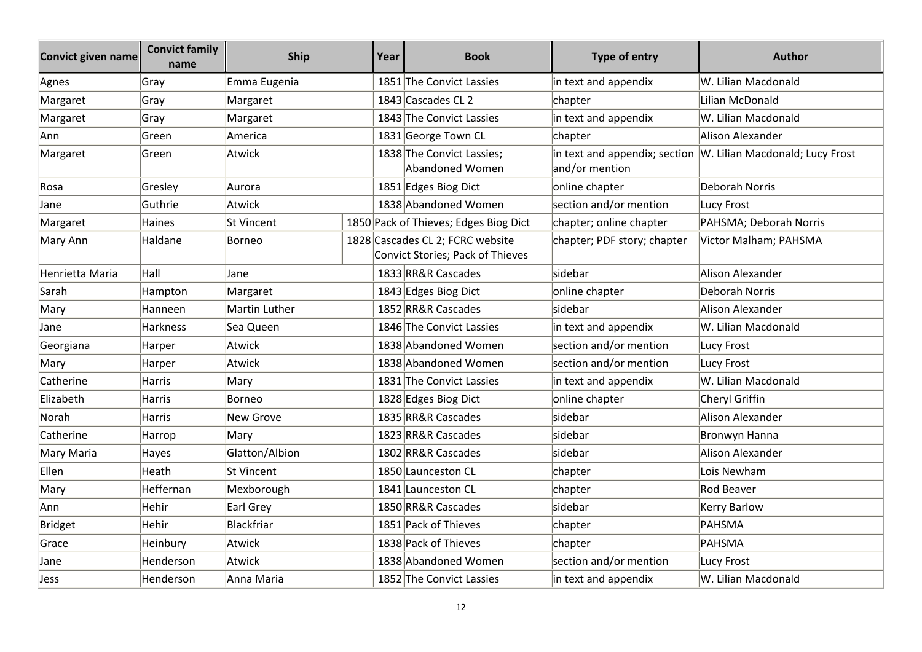| Convict given name | <b>Convict family</b><br>name | <b>Ship</b>    | Year | <b>Book</b>                                                          | Type of entry               | <b>Author</b>                                                  |
|--------------------|-------------------------------|----------------|------|----------------------------------------------------------------------|-----------------------------|----------------------------------------------------------------|
| Agnes              | Gray                          | Emma Eugenia   |      | 1851 The Convict Lassies                                             | in text and appendix        | W. Lilian Macdonald                                            |
| Margaret           | Gray                          | Margaret       |      | 1843 Cascades CL 2                                                   | chapter                     | Lilian McDonald                                                |
| Margaret           | Gray                          | Margaret       |      | 1843 The Convict Lassies                                             | in text and appendix        | W. Lilian Macdonald                                            |
| Ann                | Green                         | America        |      | 1831 George Town CL                                                  | chapter                     | Alison Alexander                                               |
| Margaret           | Green                         | Atwick         |      | 1838 The Convict Lassies;<br>Abandoned Women                         | and/or mention              | in text and appendix; section  W. Lilian Macdonald; Lucy Frost |
| Rosa               | Gresley                       | Aurora         |      | 1851 Edges Biog Dict                                                 | online chapter              | Deborah Norris                                                 |
| Jane               | Guthrie                       | Atwick         |      | 1838 Abandoned Women                                                 | section and/or mention      | Lucy Frost                                                     |
| Margaret           | <b>Haines</b>                 | St Vincent     |      | 1850 Pack of Thieves; Edges Biog Dict                                | chapter; online chapter     | PAHSMA; Deborah Norris                                         |
| Mary Ann           | Haldane                       | Borneo         |      | 1828 Cascades CL 2; FCRC website<br>Convict Stories; Pack of Thieves | chapter; PDF story; chapter | Victor Malham; PAHSMA                                          |
| Henrietta Maria    | Hall                          | Jane           |      | 1833 RR&R Cascades                                                   | sidebar                     | Alison Alexander                                               |
| Sarah              | Hampton                       | Margaret       |      | 1843 Edges Biog Dict                                                 | online chapter              | <b>Deborah Norris</b>                                          |
| Mary               | Hanneen                       | Martin Luther  |      | 1852 RR&R Cascades                                                   | sidebar                     | Alison Alexander                                               |
| Jane               | <b>Harkness</b>               | Sea Queen      |      | 1846 The Convict Lassies                                             | in text and appendix        | W. Lilian Macdonald                                            |
| Georgiana          | Harper                        | Atwick         |      | 1838 Abandoned Women                                                 | section and/or mention      | Lucy Frost                                                     |
| Mary               | Harper                        | Atwick         |      | 1838 Abandoned Women                                                 | section and/or mention      | Lucy Frost                                                     |
| Catherine          | <b>Harris</b>                 | Mary           |      | 1831 The Convict Lassies                                             | in text and appendix        | W. Lilian Macdonald                                            |
| Elizabeth          | Harris                        | Borneo         |      | 1828 Edges Biog Dict                                                 | online chapter              | Cheryl Griffin                                                 |
| Norah              | <b>Harris</b>                 | New Grove      |      | 1835 RR&R Cascades                                                   | sidebar                     | Alison Alexander                                               |
| Catherine          | Harrop                        | Mary           |      | 1823 RR&R Cascades                                                   | sidebar                     | Bronwyn Hanna                                                  |
| Mary Maria         | Hayes                         | Glatton/Albion |      | 1802 RR&R Cascades                                                   | sidebar                     | Alison Alexander                                               |
| Ellen              | Heath                         | St Vincent     |      | 1850 Launceston CL                                                   | chapter                     | Lois Newham                                                    |
| Mary               | Heffernan                     | Mexborough     |      | 1841 Launceston CL                                                   | chapter                     | Rod Beaver                                                     |
| Ann                | Hehir                         | Earl Grey      |      | 1850 RR&R Cascades                                                   | sidebar                     | <b>Kerry Barlow</b>                                            |
| Bridget            | Hehir                         | Blackfriar     |      | 1851 Pack of Thieves                                                 | chapter                     | PAHSMA                                                         |
| Grace              | Heinbury                      | Atwick         |      | 1838 Pack of Thieves                                                 | chapter                     | PAHSMA                                                         |
| Jane               | Henderson                     | Atwick         |      | 1838 Abandoned Women                                                 | section and/or mention      | Lucy Frost                                                     |
| Jess               | Henderson                     | Anna Maria     |      | 1852 The Convict Lassies                                             | in text and appendix        | W. Lilian Macdonald                                            |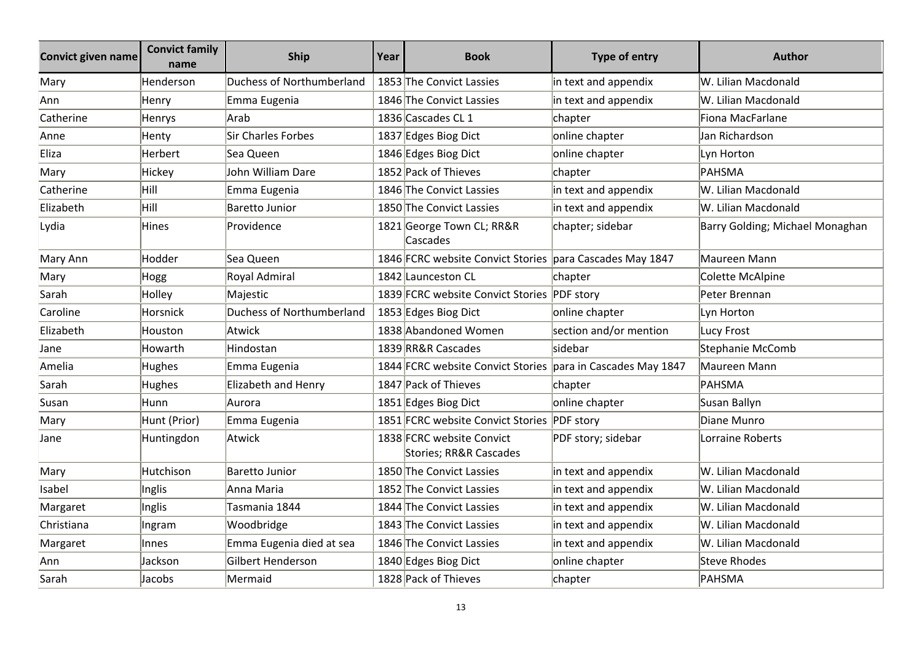| <b>Convict given name</b> | <b>Convict family</b><br>name | <b>Ship</b>               | Year | <b>Book</b>                                                 | <b>Type of entry</b>   | <b>Author</b>                   |
|---------------------------|-------------------------------|---------------------------|------|-------------------------------------------------------------|------------------------|---------------------------------|
| Mary                      | Henderson                     | Duchess of Northumberland |      | 1853 The Convict Lassies                                    | in text and appendix   | W. Lilian Macdonald             |
| Ann                       | Henry                         | Emma Eugenia              |      | 1846 The Convict Lassies                                    | in text and appendix   | W. Lilian Macdonald             |
| Catherine                 | Henrys                        | Arab                      |      | 1836 Cascades CL 1                                          | chapter                | Fiona MacFarlane                |
| Anne                      | Henty                         | <b>Sir Charles Forbes</b> |      | 1837 Edges Biog Dict                                        | online chapter         | Jan Richardson                  |
| Eliza                     | Herbert                       | Sea Queen                 |      | 1846 Edges Biog Dict                                        | online chapter         | Lyn Horton                      |
| Mary                      | Hickey                        | John William Dare         |      | 1852 Pack of Thieves                                        | chapter                | <b>PAHSMA</b>                   |
| Catherine                 | Hill                          | Emma Eugenia              |      | 1846 The Convict Lassies                                    | in text and appendix   | W. Lilian Macdonald             |
| Elizabeth                 | Hill                          | <b>Baretto Junior</b>     |      | 1850 The Convict Lassies                                    | in text and appendix   | W. Lilian Macdonald             |
| Lydia                     | Hines                         | Providence                |      | 1821 George Town CL; RR&R<br>Cascades                       | chapter; sidebar       | Barry Golding; Michael Monaghan |
| Mary Ann                  | Hodder                        | Sea Queen                 |      | 1846 FCRC website Convict Stories para Cascades May 1847    |                        | Maureen Mann                    |
| Mary                      | Hogg                          | Royal Admiral             |      | 1842 Launceston CL                                          | chapter                | Colette McAlpine                |
| Sarah                     | Holley                        | Majestic                  |      | 1839 FCRC website Convict Stories PDF story                 |                        | Peter Brennan                   |
| Caroline                  | Horsnick                      | Duchess of Northumberland |      | 1853 Edges Biog Dict                                        | online chapter         | Lyn Horton                      |
| Elizabeth                 | Houston                       | Atwick                    |      | 1838 Abandoned Women                                        | section and/or mention | Lucy Frost                      |
| Jane                      | Howarth                       | Hindostan                 |      | 1839 RR&R Cascades                                          | sidebar                | Stephanie McComb                |
| Amelia                    | <b>Hughes</b>                 | Emma Eugenia              |      | 1844 FCRC website Convict Stories para in Cascades May 1847 |                        | Maureen Mann                    |
| Sarah                     | Hughes                        | Elizabeth and Henry       |      | 1847 Pack of Thieves                                        | chapter                | PAHSMA                          |
| Susan                     | Hunn                          | Aurora                    |      | 1851 Edges Biog Dict                                        | online chapter         | Susan Ballyn                    |
| Mary                      | Hunt (Prior)                  | Emma Eugenia              |      | 1851 FCRC website Convict Stories                           | <b>PDF</b> story       | Diane Munro                     |
| Jane                      | Huntingdon                    | Atwick                    |      | 1838 FCRC website Convict<br>Stories; RR&R Cascades         | PDF story; sidebar     | Lorraine Roberts                |
| Mary                      | Hutchison                     | Baretto Junior            |      | 1850 The Convict Lassies                                    | in text and appendix   | W. Lilian Macdonald             |
| Isabel                    | Inglis                        | Anna Maria                |      | 1852 The Convict Lassies                                    | in text and appendix   | W. Lilian Macdonald             |
| Margaret                  | Inglis                        | Tasmania 1844             |      | 1844 The Convict Lassies                                    | in text and appendix   | W. Lilian Macdonald             |
| Christiana                | Ingram                        | Woodbridge                |      | 1843 The Convict Lassies                                    | in text and appendix   | W. Lilian Macdonald             |
| Margaret                  | Innes                         | Emma Eugenia died at sea  |      | 1846 The Convict Lassies                                    | in text and appendix   | W. Lilian Macdonald             |
| Ann                       | Jackson                       | Gilbert Henderson         |      | 1840 Edges Biog Dict                                        | online chapter         | <b>Steve Rhodes</b>             |
| Sarah                     | Jacobs                        | Mermaid                   |      | 1828 Pack of Thieves                                        | chapter                | PAHSMA                          |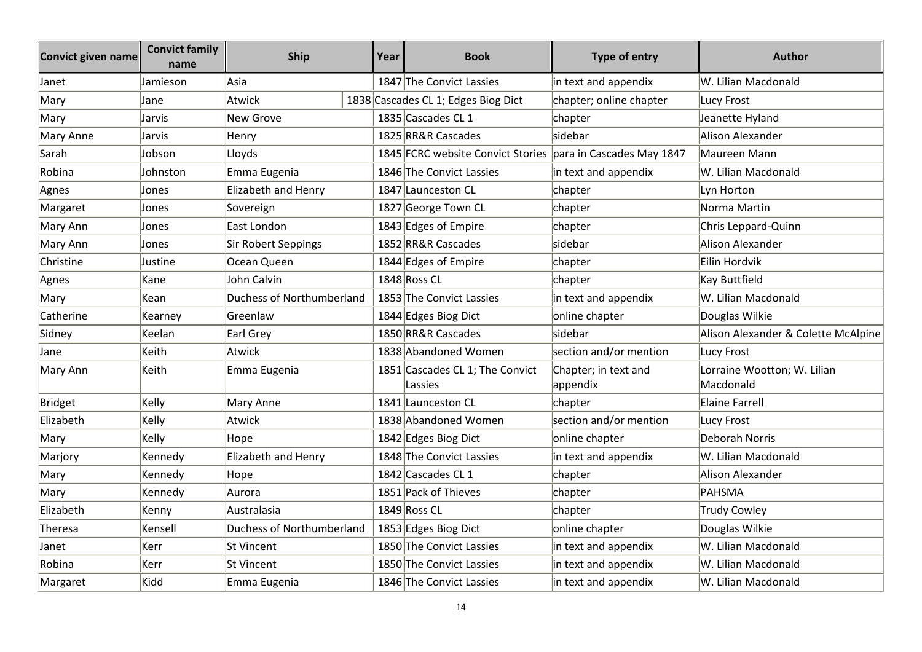| <b>Convict given name</b> | <b>Convict family</b><br>name | <b>Ship</b>               | Year | <b>Book</b>                                                 | Type of entry                    | <b>Author</b>                            |
|---------------------------|-------------------------------|---------------------------|------|-------------------------------------------------------------|----------------------------------|------------------------------------------|
| Janet                     | Jamieson                      | Asia                      |      | 1847 The Convict Lassies                                    | in text and appendix             | W. Lilian Macdonald                      |
| Mary                      | Jane                          | Atwick                    |      | 1838 Cascades CL 1; Edges Biog Dict                         | chapter; online chapter          | Lucy Frost                               |
| Mary                      | Jarvis                        | New Grove                 |      | 1835 Cascades CL 1                                          | chapter                          | Jeanette Hyland                          |
| Mary Anne                 | Jarvis                        | Henry                     |      | 1825 RR&R Cascades                                          | sidebar                          | Alison Alexander                         |
| Sarah                     | Jobson                        | Lloyds                    |      | 1845 FCRC website Convict Stories para in Cascades May 1847 |                                  | Maureen Mann                             |
| Robina                    | Johnston                      | Emma Eugenia              |      | 1846 The Convict Lassies                                    | in text and appendix             | W. Lilian Macdonald                      |
| Agnes                     | Jones                         | Elizabeth and Henry       |      | 1847 Launceston CL                                          | chapter                          | Lyn Horton                               |
| Margaret                  | Jones                         | Sovereign                 |      | 1827 George Town CL                                         | chapter                          | Norma Martin                             |
| Mary Ann                  | Jones                         | East London               |      | 1843 Edges of Empire                                        | chapter                          | Chris Leppard-Quinn                      |
| Mary Ann                  | Jones                         | Sir Robert Seppings       |      | 1852 RR&R Cascades                                          | sidebar                          | Alison Alexander                         |
| Christine                 | Justine                       | Ocean Queen               |      | 1844 Edges of Empire                                        | chapter                          | Eilin Hordvik                            |
| Agnes                     | Kane                          | John Calvin               |      | 1848 Ross CL                                                | chapter                          | Kay Buttfield                            |
| Mary                      | Kean                          | Duchess of Northumberland |      | 1853 The Convict Lassies                                    | in text and appendix             | W. Lilian Macdonald                      |
| Catherine                 | Kearney                       | Greenlaw                  |      | 1844 Edges Biog Dict                                        | online chapter                   | Douglas Wilkie                           |
| Sidney                    | Keelan                        | Earl Grey                 |      | 1850 RR&R Cascades                                          | sidebar                          | Alison Alexander & Colette McAlpine      |
| Jane                      | Keith                         | Atwick                    |      | 1838 Abandoned Women                                        | section and/or mention           | <b>Lucy Frost</b>                        |
| Mary Ann                  | Keith                         | Emma Eugenia              |      | 1851 Cascades CL 1; The Convict<br>Lassies                  | Chapter; in text and<br>appendix | Lorraine Wootton; W. Lilian<br>Macdonald |
| <b>Bridget</b>            | Kelly                         | Mary Anne                 |      | 1841 Launceston CL                                          | chapter                          | Elaine Farrell                           |
| Elizabeth                 | Kelly                         | Atwick                    |      | 1838 Abandoned Women                                        | section and/or mention           | Lucy Frost                               |
| Mary                      | Kelly                         | Hope                      |      | 1842 Edges Biog Dict                                        | online chapter                   | Deborah Norris                           |
| Marjory                   | Kennedy                       | Elizabeth and Henry       |      | 1848 The Convict Lassies                                    | in text and appendix             | W. Lilian Macdonald                      |
| Mary                      | Kennedy                       | Hope                      |      | 1842 Cascades CL 1                                          | chapter                          | Alison Alexander                         |
| Mary                      | Kennedy                       | Aurora                    |      | 1851 Pack of Thieves                                        | chapter                          | PAHSMA                                   |
| Elizabeth                 | Kenny                         | Australasia               |      | 1849 Ross CL                                                | chapter                          | Trudy Cowley                             |
| Theresa                   | Kensell                       | Duchess of Northumberland |      | 1853 Edges Biog Dict                                        | online chapter                   | Douglas Wilkie                           |
| Janet                     | Kerr                          | St Vincent                |      | 1850 The Convict Lassies                                    | in text and appendix             | W. Lilian Macdonald                      |
| Robina                    | Kerr                          | lSt Vincent               |      | 1850 The Convict Lassies                                    | in text and appendix             | W. Lilian Macdonald                      |
| Margaret                  | Kidd                          | Emma Eugenia              |      | 1846 The Convict Lassies                                    | in text and appendix             | W. Lilian Macdonald                      |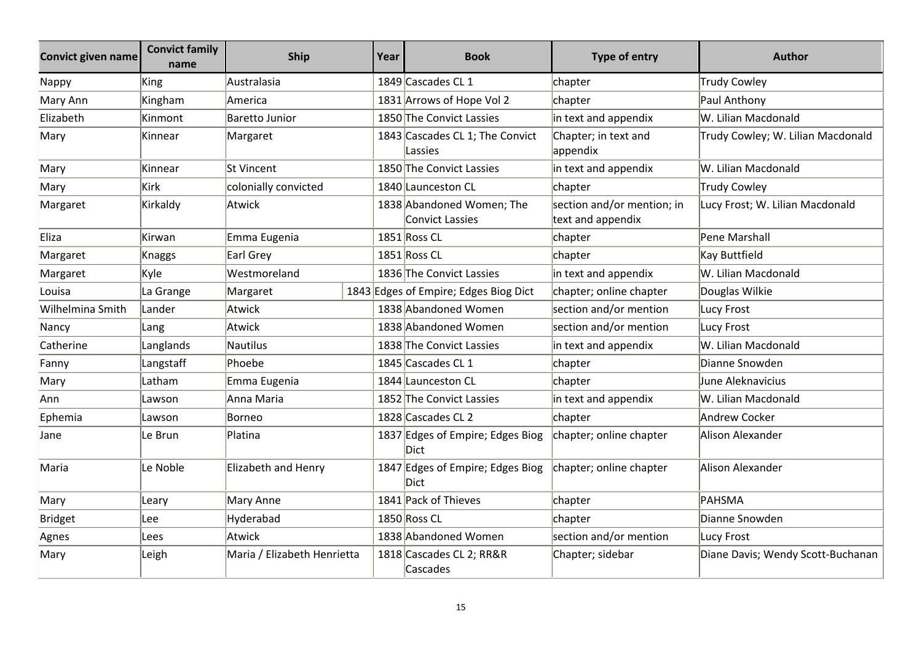| <b>Convict given name</b> | <b>Convict family</b><br>name | <b>Ship</b>                 | Year | <b>Book</b>                                         | Type of entry                                   | <b>Author</b>                     |
|---------------------------|-------------------------------|-----------------------------|------|-----------------------------------------------------|-------------------------------------------------|-----------------------------------|
| Nappy                     | King                          | Australasia                 |      | 1849 Cascades CL 1                                  | chapter                                         | Trudy Cowley                      |
| Mary Ann                  | Kingham                       | America                     |      | 1831 Arrows of Hope Vol 2                           | chapter                                         | Paul Anthony                      |
| Elizabeth                 | Kinmont                       | <b>Baretto Junior</b>       |      | 1850 The Convict Lassies                            | in text and appendix                            | W. Lilian Macdonald               |
| Mary                      | Kinnear                       | Margaret                    |      | 1843 Cascades CL 1; The Convict<br>Lassies          | Chapter; in text and<br>appendix                | Trudy Cowley; W. Lilian Macdonald |
| Mary                      | Kinnear                       | St Vincent                  |      | 1850 The Convict Lassies                            | in text and appendix                            | W. Lilian Macdonald               |
| Mary                      | Kirk                          | colonially convicted        |      | 1840 Launceston CL                                  | chapter                                         | Trudy Cowley                      |
| Margaret                  | Kirkaldy                      | Atwick                      |      | 1838 Abandoned Women; The<br><b>Convict Lassies</b> | section and/or mention; in<br>text and appendix | Lucy Frost; W. Lilian Macdonald   |
| Eliza                     | Kirwan                        | Emma Eugenia                |      | 1851 Ross CL                                        | chapter                                         | Pene Marshall                     |
| Margaret                  | <b>Knaggs</b>                 | Earl Grey                   |      | 1851 Ross CL                                        | chapter                                         | Kay Buttfield                     |
| Margaret                  | Kyle                          | Westmoreland                |      | 1836 The Convict Lassies                            | in text and appendix                            | W. Lilian Macdonald               |
| Louisa                    | La Grange                     | Margaret                    |      | 1843 Edges of Empire; Edges Biog Dict               | chapter; online chapter                         | Douglas Wilkie                    |
| Wilhelmina Smith          | Lander                        | Atwick                      |      | 1838 Abandoned Women                                | section and/or mention                          | Lucy Frost                        |
| Nancy                     | Lang                          | Atwick                      |      | 1838 Abandoned Women                                | section and/or mention                          | Lucy Frost                        |
| Catherine                 | Langlands                     | <b>Nautilus</b>             |      | 1838 The Convict Lassies                            | in text and appendix                            | W. Lilian Macdonald               |
| Fanny                     | Langstaff                     | Phoebe                      |      | 1845 Cascades CL 1                                  | chapter                                         | Dianne Snowden                    |
| Mary                      | Latham                        | Emma Eugenia                |      | 1844 Launceston CL                                  | chapter                                         | June Aleknavicius                 |
| Ann                       | Lawson                        | Anna Maria                  |      | 1852 The Convict Lassies                            | in text and appendix                            | W. Lilian Macdonald               |
| Ephemia                   | Lawson                        | Borneo                      |      | 1828 Cascades CL 2                                  | chapter                                         | Andrew Cocker                     |
| Jane                      | Le Brun                       | Platina                     |      | 1837 Edges of Empire; Edges Biog<br>Dict            | chapter; online chapter                         | Alison Alexander                  |
| Maria                     | Le Noble                      | Elizabeth and Henry         |      | 1847 Edges of Empire; Edges Biog<br>Dict            | chapter; online chapter                         | Alison Alexander                  |
| Mary                      | Leary                         | Mary Anne                   |      | 1841 Pack of Thieves                                | chapter                                         | PAHSMA                            |
| <b>Bridget</b>            | Lee                           | Hyderabad                   |      | 1850 Ross CL                                        | chapter                                         | Dianne Snowden                    |
| Agnes                     | Lees                          | Atwick                      |      | 1838 Abandoned Women                                | section and/or mention                          | Lucy Frost                        |
| Mary                      | Leigh                         | Maria / Elizabeth Henrietta |      | 1818 Cascades CL 2; RR&R<br>Cascades                | Chapter; sidebar                                | Diane Davis; Wendy Scott-Buchanan |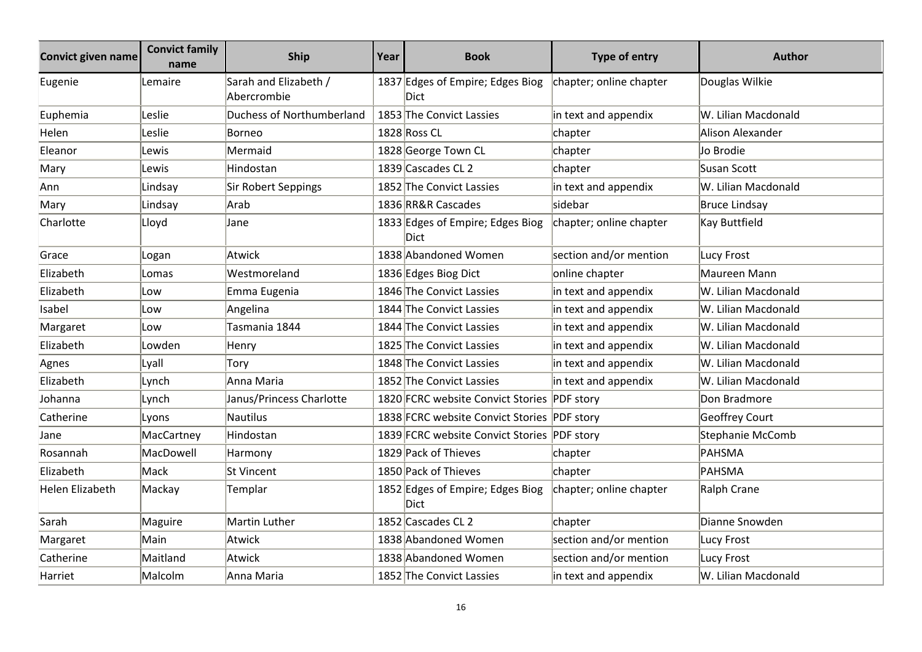| <b>Convict given name</b> | <b>Convict family</b><br>name | <b>Ship</b>                          | Year | <b>Book</b>                                     | <b>Type of entry</b>    | <b>Author</b>           |
|---------------------------|-------------------------------|--------------------------------------|------|-------------------------------------------------|-------------------------|-------------------------|
| Eugenie                   | Lemaire                       | Sarah and Elizabeth /<br>Abercrombie |      | 1837 Edges of Empire; Edges Biog<br>Dict        | chapter; online chapter | Douglas Wilkie          |
| Euphemia                  | Leslie                        | Duchess of Northumberland            |      | 1853 The Convict Lassies                        | in text and appendix    | W. Lilian Macdonald     |
| Helen                     | Leslie                        | Borneo                               |      | 1828 Ross CL                                    | chapter                 | Alison Alexander        |
| Eleanor                   | Lewis                         | Mermaid                              |      | 1828 George Town CL                             | chapter                 | Jo Brodie               |
| Mary                      | Lewis                         | Hindostan                            |      | 1839 Cascades CL 2                              | chapter                 | Susan Scott             |
| Ann                       | Lindsay                       | Sir Robert Seppings                  |      | 1852 The Convict Lassies                        | in text and appendix    | W. Lilian Macdonald     |
| Mary                      | Lindsay                       | Arab                                 |      | 1836 RR&R Cascades                              | sidebar                 | Bruce Lindsay           |
| Charlotte                 | Lloyd                         | Jane                                 |      | 1833 Edges of Empire; Edges Biog<br>Dict        | chapter; online chapter | <b>Kay Buttfield</b>    |
| Grace                     | Logan                         | Atwick                               |      | 1838 Abandoned Women                            | section and/or mention  | <b>Lucy Frost</b>       |
| Elizabeth                 | Lomas                         | Westmoreland                         |      | 1836 Edges Biog Dict                            | online chapter          | Maureen Mann            |
| Elizabeth                 | Low                           | Emma Eugenia                         |      | 1846 The Convict Lassies                        | in text and appendix    | W. Lilian Macdonald     |
| Isabel                    | Low                           | Angelina                             |      | 1844 The Convict Lassies                        | in text and appendix    | W. Lilian Macdonald     |
| Margaret                  | Low                           | Tasmania 1844                        |      | 1844 The Convict Lassies                        | in text and appendix    | W. Lilian Macdonald     |
| Elizabeth                 | Lowden                        | Henry                                |      | 1825 The Convict Lassies                        | in text and appendix    | W. Lilian Macdonald     |
| Agnes                     | Lyall                         | Tory                                 |      | 1848 The Convict Lassies                        | in text and appendix    | W. Lilian Macdonald     |
| Elizabeth                 | Lynch                         | Anna Maria                           |      | 1852 The Convict Lassies                        | in text and appendix    | W. Lilian Macdonald     |
| Johanna                   | Lynch                         | Janus/Princess Charlotte             |      | 1820 FCRC website Convict Stories PDF story     |                         | Don Bradmore            |
| Catherine                 | Lyons                         | Nautilus                             |      | 1838 FCRC website Convict Stories PDF story     |                         | <b>Geoffrey Court</b>   |
| Jane                      | MacCartney                    | Hindostan                            |      | 1839 FCRC website Convict Stories PDF story     |                         | <b>Stephanie McComb</b> |
| Rosannah                  | MacDowell                     | Harmony                              |      | 1829 Pack of Thieves                            | chapter                 | PAHSMA                  |
| Elizabeth                 | Mack                          | St Vincent                           |      | 1850 Pack of Thieves                            | chapter                 | PAHSMA                  |
| Helen Elizabeth           | Mackay                        | Templar                              |      | 1852 Edges of Empire; Edges Biog<br><b>Dict</b> | chapter; online chapter | Ralph Crane             |
| Sarah                     | Maguire                       | Martin Luther                        |      | 1852 Cascades CL 2                              | chapter                 | Dianne Snowden          |
| Margaret                  | Main                          | Atwick                               |      | 1838 Abandoned Women                            | section and/or mention  | <b>Lucy Frost</b>       |
| Catherine                 | Maitland                      | Atwick                               |      | 1838 Abandoned Women                            | section and/or mention  | <b>Lucy Frost</b>       |
| Harriet                   | Malcolm                       | Anna Maria                           |      | 1852 The Convict Lassies                        | in text and appendix    | W. Lilian Macdonald     |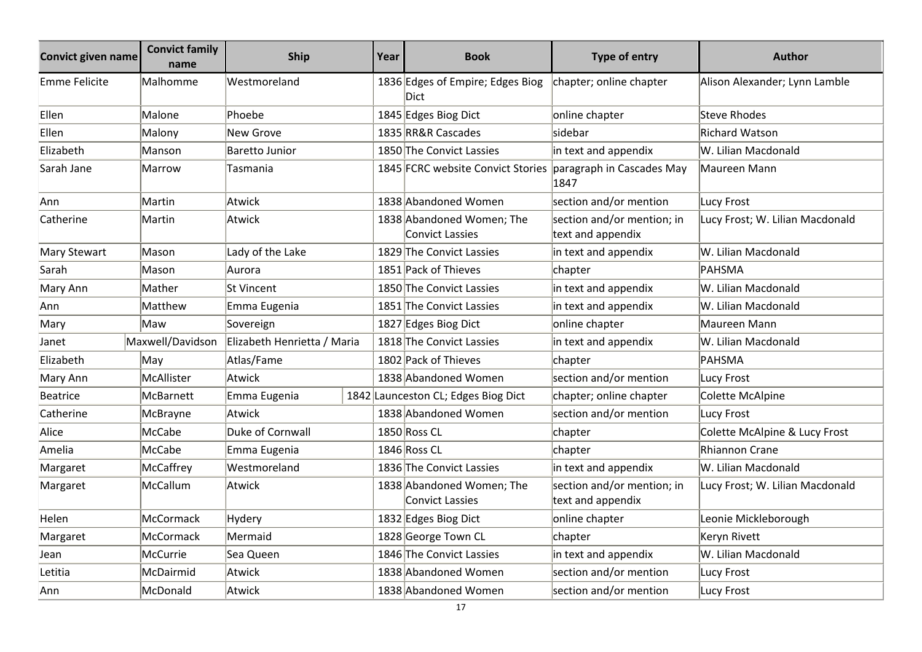| <b>Convict given name</b> | <b>Convict family</b><br>name | <b>Ship</b>                 | Year | <b>Book</b>                                         | <b>Type of entry</b>                            | <b>Author</b>                   |
|---------------------------|-------------------------------|-----------------------------|------|-----------------------------------------------------|-------------------------------------------------|---------------------------------|
| Emme Felicite             | Malhomme                      | Westmoreland                |      | 1836 Edges of Empire; Edges Biog<br>Dict            | chapter; online chapter                         | Alison Alexander; Lynn Lamble   |
| Ellen                     | Malone                        | Phoebe                      |      | 1845 Edges Biog Dict                                | online chapter                                  | <b>Steve Rhodes</b>             |
| Ellen                     | Malony                        | <b>New Grove</b>            |      | 1835 RR&R Cascades                                  | lsidebar                                        | <b>Richard Watson</b>           |
| Elizabeth                 | Manson                        | Baretto Junior              |      | 1850 The Convict Lassies                            | in text and appendix                            | W. Lilian Macdonald             |
| Sarah Jane                | Marrow                        | Tasmania                    |      | 1845 FCRC website Convict Stories                   | paragraph in Cascades May<br>1847               | Maureen Mann                    |
| Ann                       | Martin                        | Atwick                      |      | 1838 Abandoned Women                                | section and/or mention                          | Lucy Frost                      |
| Catherine                 | Martin                        | Atwick                      |      | 1838 Abandoned Women; The<br>Convict Lassies        | section and/or mention; in<br>text and appendix | Lucy Frost; W. Lilian Macdonald |
| Mary Stewart              | Mason                         | Lady of the Lake            |      | 1829 The Convict Lassies                            | in text and appendix                            | W. Lilian Macdonald             |
| Sarah                     | Mason                         | Aurora                      |      | 1851 Pack of Thieves                                | chapter                                         | PAHSMA                          |
| Mary Ann                  | Mather                        | <b>St Vincent</b>           |      | 1850 The Convict Lassies                            | in text and appendix                            | W. Lilian Macdonald             |
| Ann                       | Matthew                       | Emma Eugenia                |      | 1851 The Convict Lassies                            | in text and appendix                            | W. Lilian Macdonald             |
| Mary                      | Maw                           | Sovereign                   |      | 1827 Edges Biog Dict                                | online chapter                                  | Maureen Mann                    |
| Janet                     | Maxwell/Davidson              | Elizabeth Henrietta / Maria |      | 1818 The Convict Lassies                            | in text and appendix                            | W. Lilian Macdonald             |
| Elizabeth                 | May                           | Atlas/Fame                  |      | 1802 Pack of Thieves                                | chapter                                         | PAHSMA                          |
| Mary Ann                  | McAllister                    | Atwick                      |      | 1838 Abandoned Women                                | section and/or mention                          | Lucy Frost                      |
| Beatrice                  | McBarnett                     | Emma Eugenia                |      | 1842 Launceston CL; Edges Biog Dict                 | chapter; online chapter                         | Colette McAlpine                |
| Catherine                 | McBrayne                      | Atwick                      |      | 1838 Abandoned Women                                | section and/or mention                          | Lucy Frost                      |
| Alice                     | McCabe                        | Duke of Cornwall            |      | 1850 Ross CL                                        | chapter                                         | Colette McAlpine & Lucy Frost   |
| Amelia                    | <b>McCabe</b>                 | Emma Eugenia                |      | 1846 Ross CL                                        | chapter                                         | Rhiannon Crane                  |
| Margaret                  | McCaffrey                     | Westmoreland                |      | 1836 The Convict Lassies                            | in text and appendix                            | W. Lilian Macdonald             |
| Margaret                  | McCallum                      | Atwick                      |      | 1838 Abandoned Women; The<br><b>Convict Lassies</b> | section and/or mention; in<br>text and appendix | Lucy Frost; W. Lilian Macdonald |
| Helen                     | <b>McCormack</b>              | Hydery                      |      | 1832 Edges Biog Dict                                | online chapter                                  | Leonie Mickleborough            |
| Margaret                  | McCormack                     | Mermaid                     |      | 1828 George Town CL                                 | chapter                                         | Keryn Rivett                    |
| Jean                      | <b>McCurrie</b>               | Sea Queen                   |      | 1846 The Convict Lassies                            | in text and appendix                            | W. Lilian Macdonald             |
| Letitia                   | McDairmid                     | Atwick                      |      | 1838 Abandoned Women                                | section and/or mention                          | Lucy Frost                      |
| Ann                       | McDonald                      | Atwick                      |      | 1838 Abandoned Women                                | section and/or mention                          | Lucy Frost                      |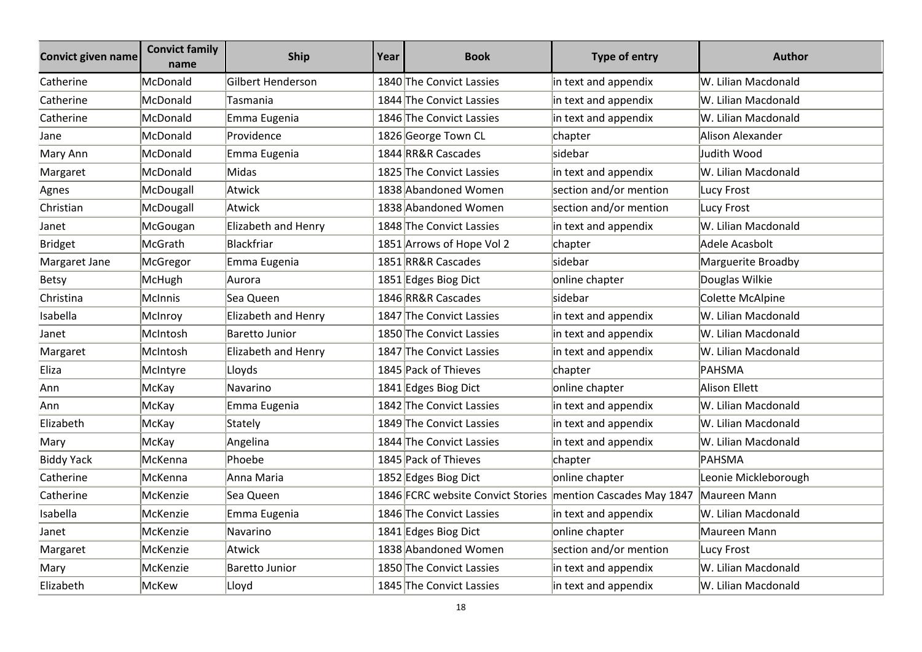| <b>Convict given name</b> | <b>Convict family</b><br>name | <b>Ship</b>         | Year | <b>Book</b>                                                 | <b>Type of entry</b>   | <b>Author</b>        |
|---------------------------|-------------------------------|---------------------|------|-------------------------------------------------------------|------------------------|----------------------|
| Catherine                 | McDonald                      | Gilbert Henderson   |      | 1840 The Convict Lassies                                    | in text and appendix   | W. Lilian Macdonald  |
| Catherine                 | McDonald                      | Tasmania            |      | 1844 The Convict Lassies                                    | in text and appendix   | W. Lilian Macdonald  |
| Catherine                 | McDonald                      | Emma Eugenia        |      | 1846 The Convict Lassies                                    | in text and appendix   | W. Lilian Macdonald  |
| Jane                      | McDonald                      | Providence          |      | 1826 George Town CL                                         | chapter                | Alison Alexander     |
| Mary Ann                  | McDonald                      | Emma Eugenia        |      | 1844 RR&R Cascades                                          | sidebar                | Judith Wood          |
| Margaret                  | McDonald                      | Midas               |      | 1825 The Convict Lassies                                    | in text and appendix   | W. Lilian Macdonald  |
| Agnes                     | McDougall                     | Atwick              |      | 1838 Abandoned Women                                        | section and/or mention | <b>Lucy Frost</b>    |
| Christian                 | McDougall                     | Atwick              |      | 1838 Abandoned Women                                        | section and/or mention | Lucy Frost           |
| Janet                     | McGougan                      | Elizabeth and Henry |      | 1848 The Convict Lassies                                    | in text and appendix   | W. Lilian Macdonald  |
| <b>Bridget</b>            | McGrath                       | Blackfriar          |      | 1851 Arrows of Hope Vol 2                                   | chapter                | Adele Acasbolt       |
| Margaret Jane             | McGregor                      | Emma Eugenia        |      | 1851 RR&R Cascades                                          | sidebar                | Marguerite Broadby   |
| <b>Betsy</b>              | McHugh                        | Aurora              |      | 1851 Edges Biog Dict                                        | online chapter         | Douglas Wilkie       |
| Christina                 | McInnis                       | Sea Queen           |      | 1846 RR&R Cascades                                          | sidebar                | Colette McAlpine     |
| Isabella                  | McInroy                       | Elizabeth and Henry |      | 1847 The Convict Lassies                                    | in text and appendix   | W. Lilian Macdonald  |
| Janet                     | McIntosh                      | Baretto Junior      |      | 1850 The Convict Lassies                                    | in text and appendix   | W. Lilian Macdonald  |
| Margaret                  | McIntosh                      | Elizabeth and Henry |      | 1847 The Convict Lassies                                    | in text and appendix   | W. Lilian Macdonald  |
| Eliza                     | McIntyre                      | Lloyds              |      | 1845 Pack of Thieves                                        | chapter                | PAHSMA               |
| Ann                       | McKay                         | Navarino            |      | 1841 Edges Biog Dict                                        | online chapter         | Alison Ellett        |
| Ann                       | McKay                         | Emma Eugenia        |      | 1842 The Convict Lassies                                    | in text and appendix   | W. Lilian Macdonald  |
| Elizabeth                 | McKay                         | Stately             |      | 1849 The Convict Lassies                                    | in text and appendix   | W. Lilian Macdonald  |
| Mary                      | McKay                         | Angelina            |      | 1844 The Convict Lassies                                    | in text and appendix   | W. Lilian Macdonald  |
| <b>Biddy Yack</b>         | McKenna                       | Phoebe              |      | 1845 Pack of Thieves                                        | chapter                | <b>PAHSMA</b>        |
| Catherine                 | McKenna                       | Anna Maria          |      | 1852 Edges Biog Dict                                        | online chapter         | Leonie Mickleborough |
| Catherine                 | McKenzie                      | Sea Queen           |      | 1846 FCRC website Convict Stories mention Cascades May 1847 |                        | Maureen Mann         |
| Isabella                  | McKenzie                      | Emma Eugenia        |      | 1846 The Convict Lassies                                    | in text and appendix   | W. Lilian Macdonald  |
| Janet                     | McKenzie                      | Navarino            |      | 1841 Edges Biog Dict                                        | online chapter         | Maureen Mann         |
| Margaret                  | McKenzie                      | Atwick              |      | 1838 Abandoned Women                                        | section and/or mention | Lucy Frost           |
| Mary                      | McKenzie                      | Baretto Junior      |      | 1850 The Convict Lassies                                    | in text and appendix   | W. Lilian Macdonald  |
| Elizabeth                 | McKew                         | Lloyd               |      | 1845 The Convict Lassies                                    | in text and appendix   | W. Lilian Macdonald  |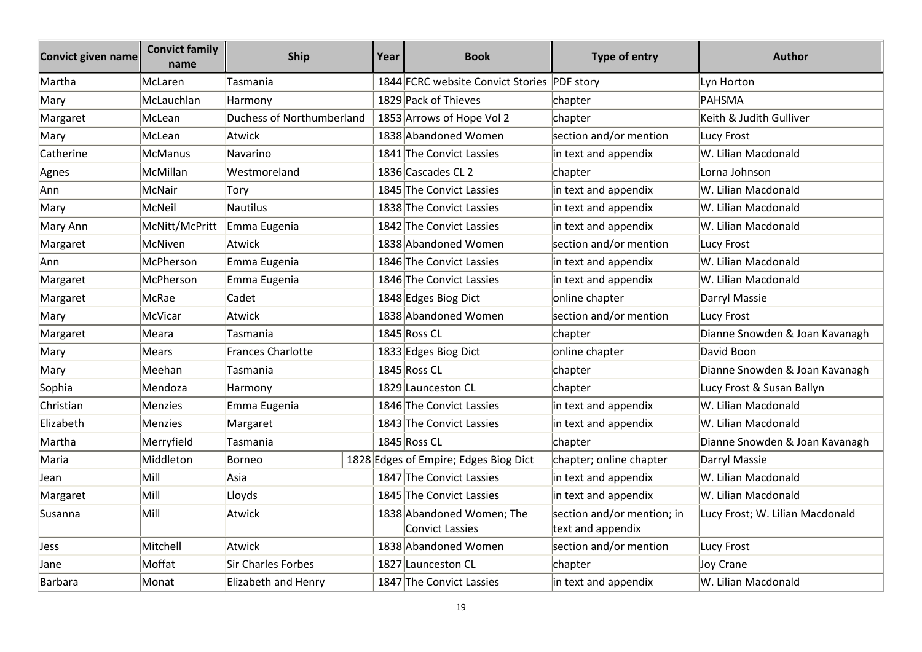| <b>Convict given name</b> | <b>Convict family</b><br>name | <b>Ship</b>               | Year | <b>Book</b>                                  | Type of entry                                   | <b>Author</b>                   |
|---------------------------|-------------------------------|---------------------------|------|----------------------------------------------|-------------------------------------------------|---------------------------------|
| Martha                    | McLaren                       | Tasmania                  |      | 1844 FCRC website Convict Stories            | <b>PDF</b> story                                | Lyn Horton                      |
| Mary                      | McLauchlan                    | Harmony                   |      | 1829 Pack of Thieves                         | chapter                                         | PAHSMA                          |
| Margaret                  | McLean                        | Duchess of Northumberland |      | 1853 Arrows of Hope Vol 2                    | chapter                                         | Keith & Judith Gulliver         |
| Mary                      | McLean                        | Atwick                    |      | 1838 Abandoned Women                         | section and/or mention                          | Lucy Frost                      |
| Catherine                 | <b>McManus</b>                | Navarino                  |      | 1841 The Convict Lassies                     | in text and appendix                            | W. Lilian Macdonald             |
| Agnes                     | McMillan                      | Westmoreland              |      | 1836 Cascades CL 2                           | chapter                                         | Lorna Johnson                   |
| Ann                       | McNair                        | Tory                      |      | 1845 The Convict Lassies                     | in text and appendix                            | W. Lilian Macdonald             |
| Mary                      | McNeil                        | Nautilus                  |      | 1838 The Convict Lassies                     | in text and appendix                            | W. Lilian Macdonald             |
| Mary Ann                  | McNitt/McPritt                | Emma Eugenia              |      | 1842 The Convict Lassies                     | in text and appendix                            | W. Lilian Macdonald             |
| Margaret                  | McNiven                       | Atwick                    |      | 1838 Abandoned Women                         | section and/or mention                          | Lucy Frost                      |
| Ann                       | McPherson                     | Emma Eugenia              |      | 1846 The Convict Lassies                     | in text and appendix                            | W. Lilian Macdonald             |
| Margaret                  | McPherson                     | Emma Eugenia              |      | 1846 The Convict Lassies                     | in text and appendix                            | W. Lilian Macdonald             |
| Margaret                  | McRae                         | Cadet                     |      | 1848 Edges Biog Dict                         | online chapter                                  | Darryl Massie                   |
| Mary                      | McVicar                       | Atwick                    |      | 1838 Abandoned Women                         | section and/or mention                          | Lucy Frost                      |
| Margaret                  | Meara                         | Tasmania                  |      | 1845 Ross CL                                 | chapter                                         | Dianne Snowden & Joan Kavanagh  |
| Mary                      | Mears                         | <b>Frances Charlotte</b>  |      | 1833 Edges Biog Dict                         | online chapter                                  | David Boon                      |
| Mary                      | Meehan                        | Tasmania                  |      | 1845 Ross CL                                 | chapter                                         | Dianne Snowden & Joan Kavanagh  |
| Sophia                    | Mendoza                       | Harmony                   |      | 1829 Launceston CL                           | chapter                                         | Lucy Frost & Susan Ballyn       |
| Christian                 | Menzies                       | Emma Eugenia              |      | 1846 The Convict Lassies                     | in text and appendix                            | W. Lilian Macdonald             |
| Elizabeth                 | Menzies                       | Margaret                  |      | 1843 The Convict Lassies                     | in text and appendix                            | W. Lilian Macdonald             |
| Martha                    | Merryfield                    | Tasmania                  |      | 1845 Ross CL                                 | chapter                                         | Dianne Snowden & Joan Kavanagh  |
| Maria                     | Middleton                     | Borneo                    |      | 1828 Edges of Empire; Edges Biog Dict        | chapter; online chapter                         | Darryl Massie                   |
| Jean                      | Mill                          | Asia                      |      | 1847 The Convict Lassies                     | in text and appendix                            | W. Lilian Macdonald             |
| Margaret                  | Mill                          | Lloyds                    |      | 1845 The Convict Lassies                     | in text and appendix                            | W. Lilian Macdonald             |
| Susanna                   | Mill                          | Atwick                    |      | 1838 Abandoned Women; The<br>Convict Lassies | section and/or mention; in<br>text and appendix | Lucy Frost; W. Lilian Macdonald |
| Jess                      | Mitchell                      | Atwick                    |      | 1838 Abandoned Women                         | section and/or mention                          | Lucy Frost                      |
| Jane                      | Moffat                        | Sir Charles Forbes        |      | 1827 Launceston CL                           | chapter                                         | Joy Crane                       |
| Barbara                   | Monat                         | Elizabeth and Henry       |      | 1847 The Convict Lassies                     | in text and appendix                            | W. Lilian Macdonald             |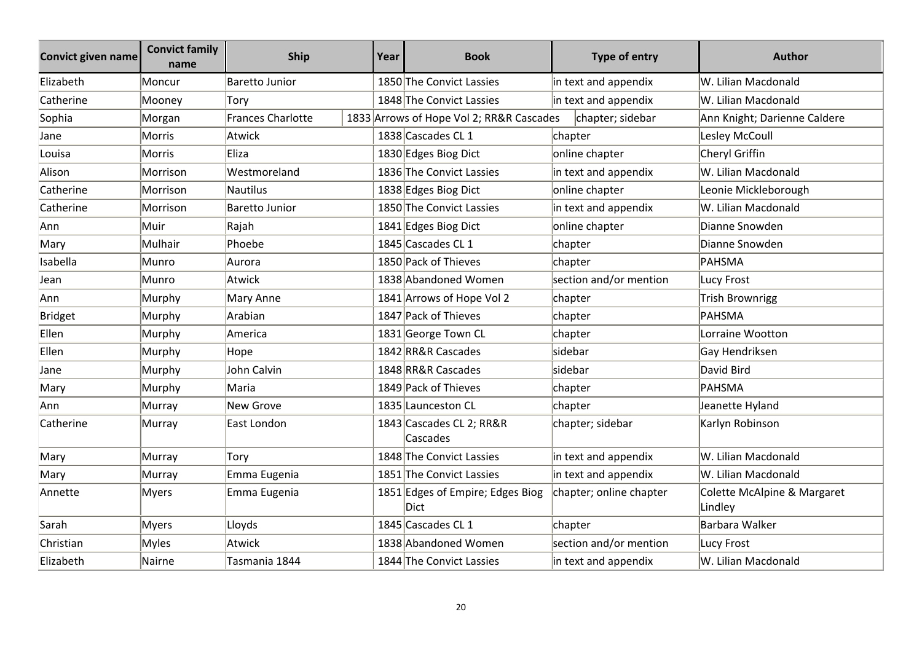| <b>Convict given name</b> | <b>Convict family</b><br>name | <b>Ship</b>       | Year | <b>Book</b>                              | <b>Type of entry</b>    | <b>Author</b>                          |
|---------------------------|-------------------------------|-------------------|------|------------------------------------------|-------------------------|----------------------------------------|
| Elizabeth                 | Moncur                        | Baretto Junior    |      | 1850 The Convict Lassies                 | in text and appendix    | W. Lilian Macdonald                    |
| Catherine                 | Mooney                        | Torv              |      | 1848 The Convict Lassies                 | in text and appendix    | W. Lilian Macdonald                    |
| Sophia                    | Morgan                        | Frances Charlotte |      | 1833 Arrows of Hope Vol 2; RR&R Cascades | chapter; sidebar        | Ann Knight; Darienne Caldere           |
| Jane                      | Morris                        | Atwick            |      | 1838 Cascades CL 1                       | chapter                 | Lesley McCoull                         |
| Louisa                    | Morris                        | Eliza             |      | 1830 Edges Biog Dict                     | online chapter          | Cheryl Griffin                         |
| Alison                    | Morrison                      | Westmoreland      |      | 1836 The Convict Lassies                 | in text and appendix    | W. Lilian Macdonald                    |
| Catherine                 | Morrison                      | Nautilus          |      | 1838 Edges Biog Dict                     | online chapter          | Leonie Mickleborough                   |
| Catherine                 | Morrison                      | Baretto Junior    |      | 1850 The Convict Lassies                 | in text and appendix    | W. Lilian Macdonald                    |
| Ann                       | Muir                          | Rajah             |      | 1841 Edges Biog Dict                     | online chapter          | Dianne Snowden                         |
| Mary                      | Mulhair                       | Phoebe            |      | 1845 Cascades CL 1                       | chapter                 | Dianne Snowden                         |
| Isabella                  | Munro                         | Aurora            |      | 1850 Pack of Thieves                     | chapter                 | PAHSMA                                 |
| Jean                      | Munro                         | Atwick            |      | 1838 Abandoned Women                     | section and/or mention  | Lucy Frost                             |
| Ann                       | Murphy                        | Mary Anne         |      | 1841 Arrows of Hope Vol 2                | chapter                 | Trish Brownrigg                        |
| <b>Bridget</b>            | Murphy                        | Arabian           |      | 1847 Pack of Thieves                     | chapter                 | PAHSMA                                 |
| Ellen                     | Murphy                        | America           |      | 1831 George Town CL                      | chapter                 | Lorraine Wootton                       |
| Ellen                     | Murphy                        | Hope              |      | 1842 RR&R Cascades                       | sidebar                 | Gay Hendriksen                         |
| Jane                      | Murphy                        | John Calvin       |      | 1848 RR&R Cascades                       | sidebar                 | David Bird                             |
| Mary                      | Murphy                        | Maria             |      | 1849 Pack of Thieves                     | chapter                 | PAHSMA                                 |
| Ann                       | Murray                        | New Grove         |      | 1835 Launceston CL                       | chapter                 | Jeanette Hyland                        |
| Catherine                 | Murray                        | East London       |      | 1843 Cascades CL 2; RR&R<br>Cascades     | chapter; sidebar        | Karlyn Robinson                        |
| Mary                      | Murray                        | Tory              |      | 1848 The Convict Lassies                 | in text and appendix    | W. Lilian Macdonald                    |
| Mary                      | Murray                        | Emma Eugenia      |      | 1851 The Convict Lassies                 | in text and appendix    | W. Lilian Macdonald                    |
| Annette                   | <b>Myers</b>                  | Emma Eugenia      |      | 1851 Edges of Empire; Edges Biog<br>Dict | chapter; online chapter | Colette McAlpine & Margaret<br>Lindley |
| Sarah                     | <b>Myers</b>                  | Lloyds            |      | 1845 Cascades CL 1                       | chapter                 | Barbara Walker                         |
| Christian                 | <b>Myles</b>                  | Atwick            |      | 1838 Abandoned Women                     | section and/or mention  | Lucy Frost                             |
| Elizabeth                 | Nairne                        | Tasmania 1844     |      | 1844 The Convict Lassies                 | in text and appendix    | W. Lilian Macdonald                    |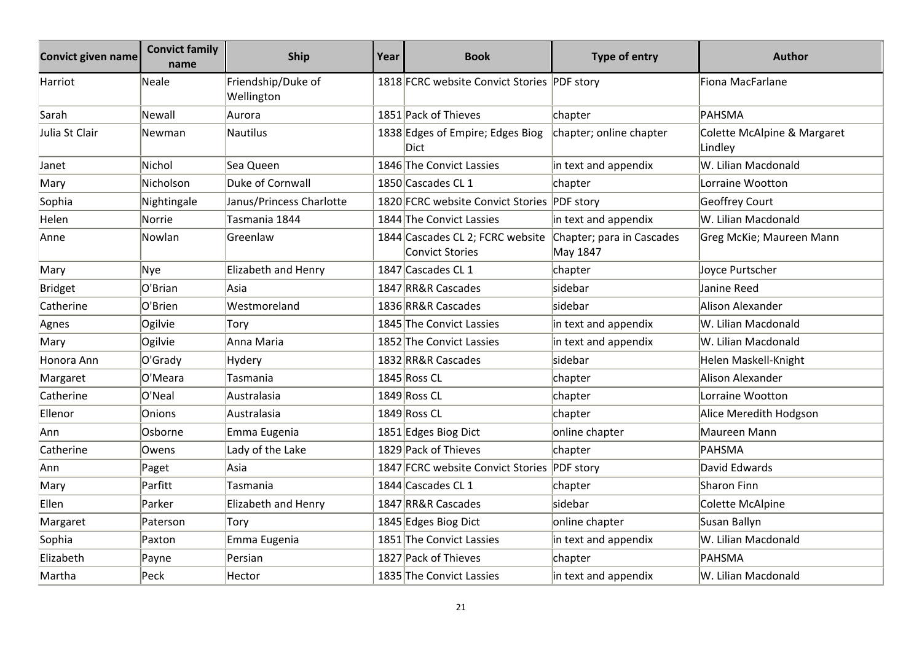| <b>Convict given name</b> | <b>Convict family</b><br>name | <b>Ship</b>                      | Year | <b>Book</b>                                                | <b>Type of entry</b>                  | <b>Author</b>                          |
|---------------------------|-------------------------------|----------------------------------|------|------------------------------------------------------------|---------------------------------------|----------------------------------------|
| Harriot                   | Neale                         | Friendship/Duke of<br>Wellington |      | 1818 FCRC website Convict Stories PDF story                |                                       | Fiona MacFarlane                       |
| Sarah                     | Newall                        | Aurora                           |      | 1851 Pack of Thieves                                       | chapter                               | PAHSMA                                 |
| Julia St Clair            | Newman                        | Nautilus                         |      | 1838 Edges of Empire; Edges Biog<br>Dict                   | chapter; online chapter               | Colette McAlpine & Margaret<br>Lindley |
| Janet                     | Nichol                        | Sea Queen                        |      | 1846 The Convict Lassies                                   | in text and appendix                  | W. Lilian Macdonald                    |
| Mary                      | Nicholson                     | Duke of Cornwall                 |      | 1850 Cascades CL 1                                         | chapter                               | Lorraine Wootton                       |
| Sophia                    | Nightingale                   | Janus/Princess Charlotte         |      | 1820 FCRC website Convict Stories PDF story                |                                       | Geoffrey Court                         |
| Helen                     | <b>Norrie</b>                 | Tasmania 1844                    |      | 1844 The Convict Lassies                                   | in text and appendix                  | W. Lilian Macdonald                    |
| Anne                      | Nowlan                        | Greenlaw                         |      | 1844 Cascades CL 2; FCRC website<br><b>Convict Stories</b> | Chapter; para in Cascades<br>May 1847 | Greg McKie; Maureen Mann               |
| Mary                      | <b>Nye</b>                    | Elizabeth and Henry              |      | 1847 Cascades CL 1                                         | chapter                               | Joyce Purtscher                        |
| <b>Bridget</b>            | O'Brian                       | Asia                             |      | 1847 RR&R Cascades                                         | sidebar                               | Janine Reed                            |
| Catherine                 | O'Brien                       | Westmoreland                     |      | 1836 RR&R Cascades                                         | sidebar                               | Alison Alexander                       |
| Agnes                     | Ogilvie                       | Tory                             |      | 1845 The Convict Lassies                                   | in text and appendix                  | W. Lilian Macdonald                    |
| Mary                      | Ogilvie                       | Anna Maria                       |      | 1852 The Convict Lassies                                   | in text and appendix                  | W. Lilian Macdonald                    |
| Honora Ann                | O'Grady                       | Hydery                           |      | 1832 RR&R Cascades                                         | sidebar                               | Helen Maskell-Knight                   |
| Margaret                  | O'Meara                       | Tasmania                         |      | 1845 Ross CL                                               | chapter                               | Alison Alexander                       |
| Catherine                 | O'Neal                        | Australasia                      |      | 1849 Ross CL                                               | chapter                               | Lorraine Wootton                       |
| Ellenor                   | Onions                        | Australasia                      |      | 1849 Ross CL                                               | chapter                               | Alice Meredith Hodgson                 |
| Ann                       | Osborne                       | Emma Eugenia                     |      | 1851 Edges Biog Dict                                       | online chapter                        | Maureen Mann                           |
| Catherine                 | Owens                         | Lady of the Lake                 |      | 1829 Pack of Thieves                                       | chapter                               | PAHSMA                                 |
| Ann                       | Paget                         | Asia                             |      | 1847 FCRC website Convict Stories PDF story                |                                       | David Edwards                          |
| Mary                      | Parfitt                       | Tasmania                         |      | 1844 Cascades CL 1                                         | chapter                               | Sharon Finn                            |
| Ellen                     | Parker                        | Elizabeth and Henry              |      | 1847 RR&R Cascades                                         | sidebar                               | Colette McAlpine                       |
| Margaret                  | Paterson                      | Tory                             |      | 1845 Edges Biog Dict                                       | online chapter                        | Susan Ballyn                           |
| Sophia                    | Paxton                        | Emma Eugenia                     |      | 1851 The Convict Lassies                                   | in text and appendix                  | W. Lilian Macdonald                    |
| Elizabeth                 | Payne                         | Persian                          |      | 1827 Pack of Thieves                                       | chapter                               | PAHSMA                                 |
| Martha                    | Peck                          | Hector                           |      | 1835 The Convict Lassies                                   | in text and appendix                  | W. Lilian Macdonald                    |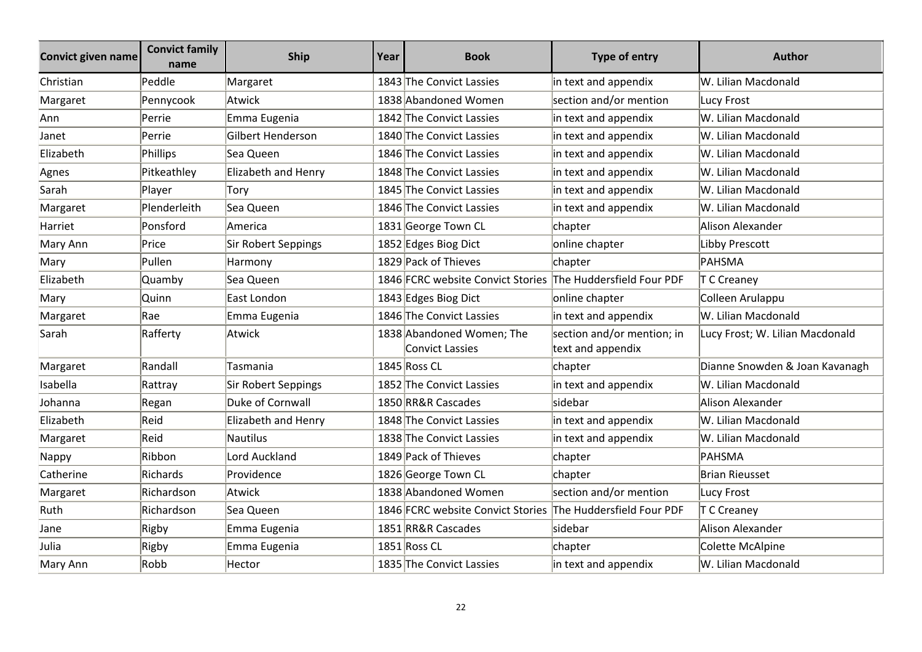| <b>Convict given name</b> | <b>Convict family</b><br>name | <b>Ship</b>         | Year | <b>Book</b>                                                 | Type of entry                                   | <b>Author</b>                   |
|---------------------------|-------------------------------|---------------------|------|-------------------------------------------------------------|-------------------------------------------------|---------------------------------|
| Christian                 | Peddle                        | Margaret            |      | 1843 The Convict Lassies                                    | in text and appendix                            | W. Lilian Macdonald             |
| Margaret                  | Pennycook                     | Atwick              |      | 1838 Abandoned Women                                        | section and/or mention                          | Lucy Frost                      |
| Ann                       | Perrie                        | Emma Eugenia        |      | 1842 The Convict Lassies                                    | in text and appendix                            | W. Lilian Macdonald             |
| Janet                     | Perrie                        | Gilbert Henderson   |      | 1840 The Convict Lassies                                    | in text and appendix                            | W. Lilian Macdonald             |
| Elizabeth                 | Phillips                      | Sea Queen           |      | 1846 The Convict Lassies                                    | in text and appendix                            | W. Lilian Macdonald             |
| Agnes                     | Pitkeathley                   | Elizabeth and Henry |      | 1848 The Convict Lassies                                    | in text and appendix                            | W. Lilian Macdonald             |
| Sarah                     | Player                        | Tory                |      | 1845 The Convict Lassies                                    | in text and appendix                            | W. Lilian Macdonald             |
| Margaret                  | Plenderleith                  | Sea Queen           |      | 1846 The Convict Lassies                                    | in text and appendix                            | W. Lilian Macdonald             |
| Harriet                   | Ponsford                      | America             |      | 1831 George Town CL                                         | chapter                                         | Alison Alexander                |
| Mary Ann                  | Price                         | Sir Robert Seppings |      | 1852 Edges Biog Dict                                        | online chapter                                  | Libby Prescott                  |
| Mary                      | Pullen                        | Harmony             |      | 1829 Pack of Thieves                                        | chapter                                         | PAHSMA                          |
| Elizabeth                 | Quamby                        | Sea Queen           |      | 1846 FCRC website Convict Stories The Huddersfield Four PDF |                                                 | T C Creaney                     |
| Mary                      | Quinn                         | East London         |      | 1843 Edges Biog Dict                                        | online chapter                                  | Colleen Arulappu                |
| Margaret                  | Rae                           | Emma Eugenia        |      | 1846 The Convict Lassies                                    | in text and appendix                            | W. Lilian Macdonald             |
| Sarah                     | Rafferty                      | Atwick              |      | 1838 Abandoned Women; The<br><b>Convict Lassies</b>         | section and/or mention; in<br>text and appendix | Lucy Frost; W. Lilian Macdonald |
| Margaret                  | Randall                       | Tasmania            |      | 1845 Ross CL                                                | chapter                                         | Dianne Snowden & Joan Kavanagh  |
| Isabella                  | Rattray                       | Sir Robert Seppings |      | 1852 The Convict Lassies                                    | in text and appendix                            | W. Lilian Macdonald             |
| Johanna                   | Regan                         | Duke of Cornwall    |      | 1850 RR&R Cascades                                          | sidebar                                         | Alison Alexander                |
| Elizabeth                 | Reid                          | Elizabeth and Henry |      | 1848 The Convict Lassies                                    | in text and appendix                            | W. Lilian Macdonald             |
| Margaret                  | Reid                          | Nautilus            |      | 1838 The Convict Lassies                                    | in text and appendix                            | W. Lilian Macdonald             |
| Nappy                     | Ribbon                        | Lord Auckland       |      | 1849 Pack of Thieves                                        | chapter                                         | IPAHSMA                         |
| Catherine                 | Richards                      | Providence          |      | 1826 George Town CL                                         | chapter                                         | <b>Brian Rieusset</b>           |
| Margaret                  | Richardson                    | Atwick              |      | 1838 Abandoned Women                                        | section and/or mention                          | Lucy Frost                      |
| Ruth                      | Richardson                    | Sea Queen           |      | 1846 FCRC website Convict Stories                           | The Huddersfield Four PDF                       | T C Creaney                     |
| Jane                      | Rigby                         | Emma Eugenia        |      | 1851 RR&R Cascades                                          | sidebar                                         | Alison Alexander                |
| Julia                     | Rigby                         | Emma Eugenia        |      | 1851 Ross CL                                                | chapter                                         | Colette McAlpine                |
| Mary Ann                  | Robb                          | Hector              |      | 1835 The Convict Lassies                                    | in text and appendix                            | W. Lilian Macdonald             |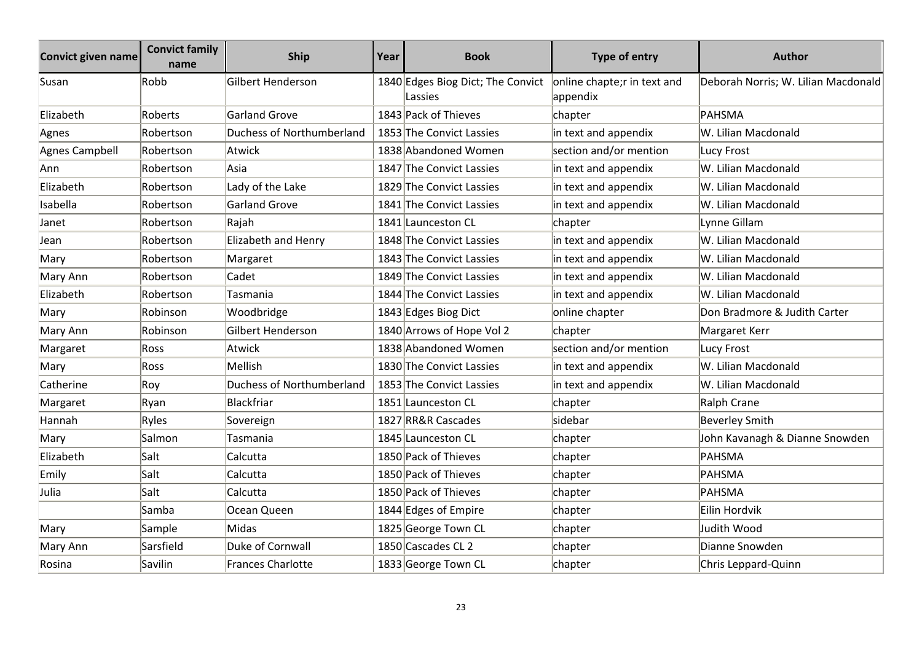| Convict given name | <b>Convict family</b><br>name | Ship                             | Year | <b>Book</b>                                  | <b>Type of entry</b>                     | <b>Author</b>                       |
|--------------------|-------------------------------|----------------------------------|------|----------------------------------------------|------------------------------------------|-------------------------------------|
| Susan              | Robb                          | Gilbert Henderson                |      | 1840 Edges Biog Dict; The Convict<br>Lassies | online chapte; r in text and<br>appendix | Deborah Norris; W. Lilian Macdonald |
| Elizabeth          | Roberts                       | <b>Garland Grove</b>             |      | 1843 Pack of Thieves                         | chapter                                  | PAHSMA                              |
| Agnes              | Robertson                     | <b>Duchess of Northumberland</b> |      | 1853 The Convict Lassies                     | in text and appendix                     | W. Lilian Macdonald                 |
| Agnes Campbell     | Robertson                     | Atwick                           |      | 1838 Abandoned Women                         | section and/or mention                   | Lucy Frost                          |
| Ann                | Robertson                     | Asia                             |      | 1847 The Convict Lassies                     | in text and appendix                     | W. Lilian Macdonald                 |
| Elizabeth          | Robertson                     | Lady of the Lake                 |      | 1829 The Convict Lassies                     | in text and appendix                     | W. Lilian Macdonald                 |
| Isabella           | Robertson                     | <b>Garland Grove</b>             |      | 1841 The Convict Lassies                     | in text and appendix                     | W. Lilian Macdonald                 |
| Janet              | Robertson                     | Rajah                            |      | 1841 Launceston CL                           | chapter                                  | Lynne Gillam                        |
| Jean               | Robertson                     | Elizabeth and Henry              |      | 1848 The Convict Lassies                     | in text and appendix                     | W. Lilian Macdonald                 |
| Mary               | Robertson                     | Margaret                         |      | 1843 The Convict Lassies                     | in text and appendix                     | W. Lilian Macdonald                 |
| Mary Ann           | Robertson                     | Cadet                            |      | 1849 The Convict Lassies                     | in text and appendix                     | W. Lilian Macdonald                 |
| Elizabeth          | Robertson                     | Tasmania                         |      | 1844 The Convict Lassies                     | in text and appendix                     | W. Lilian Macdonald                 |
| Mary               | Robinson                      | Woodbridge                       |      | 1843 Edges Biog Dict                         | online chapter                           | Don Bradmore & Judith Carter        |
| Mary Ann           | Robinson                      | Gilbert Henderson                |      | 1840 Arrows of Hope Vol 2                    | chapter                                  | Margaret Kerr                       |
| Margaret           | Ross                          | Atwick                           |      | 1838 Abandoned Women                         | section and/or mention                   | Lucy Frost                          |
| Mary               | Ross                          | Mellish                          |      | 1830 The Convict Lassies                     | in text and appendix                     | W. Lilian Macdonald                 |
| Catherine          | Roy                           | Duchess of Northumberland        |      | 1853 The Convict Lassies                     | in text and appendix                     | W. Lilian Macdonald                 |
| Margaret           | Ryan                          | Blackfriar                       |      | 1851 Launceston CL                           | chapter                                  | Ralph Crane                         |
| Hannah             | Ryles                         | Sovereign                        |      | 1827 RR&R Cascades                           | sidebar                                  | <b>Beverley Smith</b>               |
| Mary               | Salmon                        | Tasmania                         |      | 1845 Launceston CL                           | chapter                                  | John Kavanagh & Dianne Snowden      |
| Elizabeth          | Salt                          | Calcutta                         |      | 1850 Pack of Thieves                         | chapter                                  | PAHSMA                              |
| Emily              | Salt                          | Calcutta                         |      | 1850 Pack of Thieves                         | chapter                                  | PAHSMA                              |
| Julia              | Salt                          | Calcutta                         |      | 1850 Pack of Thieves                         | chapter                                  | PAHSMA                              |
|                    | Samba                         | Ocean Queen                      |      | 1844 Edges of Empire                         | chapter                                  | Eilin Hordvik                       |
| Mary               | Sample                        | Midas                            |      | 1825 George Town CL                          | chapter                                  | Judith Wood                         |
| Mary Ann           | Sarsfield                     | Duke of Cornwall                 |      | 1850 Cascades CL 2                           | chapter                                  | Dianne Snowden                      |
| Rosina             | Savilin                       | <b>Frances Charlotte</b>         |      | 1833 George Town CL                          | chapter                                  | Chris Leppard-Quinn                 |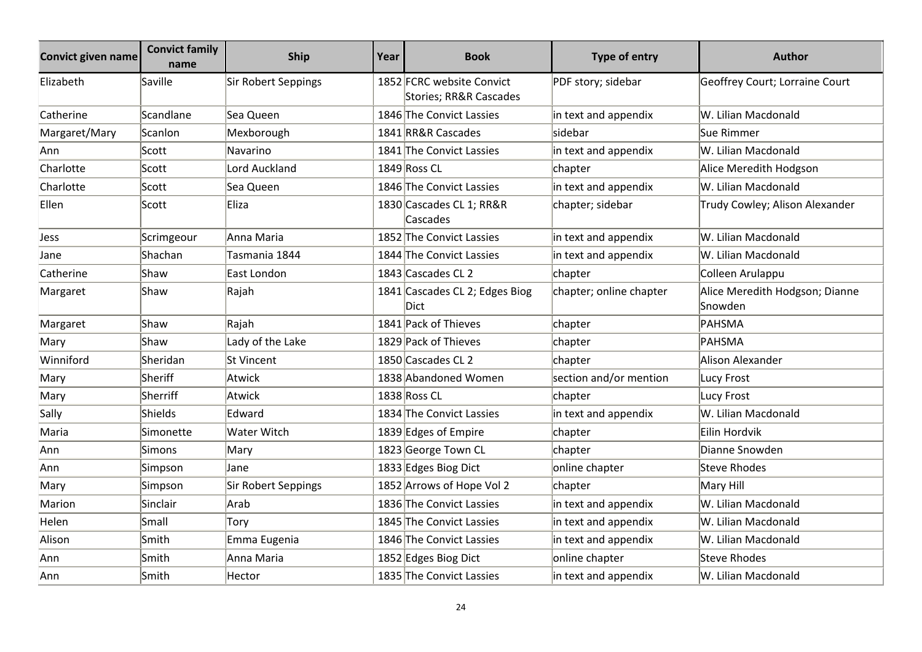| <b>Convict given name</b> | <b>Convict family</b><br>name | <b>Ship</b>         | Year | <b>Book</b>                                         | <b>Type of entry</b>    | <b>Author</b>                             |
|---------------------------|-------------------------------|---------------------|------|-----------------------------------------------------|-------------------------|-------------------------------------------|
| Elizabeth                 | Saville                       | Sir Robert Seppings |      | 1852 FCRC website Convict<br>Stories; RR&R Cascades | PDF story; sidebar      | Geoffrey Court; Lorraine Court            |
| Catherine                 | Scandlane                     | Sea Queen           |      | 1846 The Convict Lassies                            | in text and appendix    | W. Lilian Macdonald                       |
| Margaret/Mary             | Scanlon                       | Mexborough          |      | 1841 RR&R Cascades                                  | sidebar                 | Sue Rimmer                                |
| Ann                       | Scott                         | Navarino            |      | 1841 The Convict Lassies                            | in text and appendix    | W. Lilian Macdonald                       |
| Charlotte                 | Scott                         | Lord Auckland       |      | 1849 Ross CL                                        | chapter                 | Alice Meredith Hodgson                    |
| Charlotte                 | Scott                         | Sea Queen           |      | 1846 The Convict Lassies                            | in text and appendix    | W. Lilian Macdonald                       |
| Ellen                     | Scott                         | Eliza               |      | 1830 Cascades CL 1; RR&R<br>Cascades                | chapter; sidebar        | Trudy Cowley; Alison Alexander            |
| Jess                      | Scrimgeour                    | Anna Maria          |      | 1852 The Convict Lassies                            | in text and appendix    | W. Lilian Macdonald                       |
| Jane                      | Shachan                       | Tasmania 1844       |      | 1844 The Convict Lassies                            | in text and appendix    | W. Lilian Macdonald                       |
| Catherine                 | Shaw                          | East London         |      | 1843 Cascades CL 2                                  | chapter                 | Colleen Arulappu                          |
| Margaret                  | Shaw                          | Rajah               |      | 1841 Cascades CL 2; Edges Biog<br>Dict              | chapter; online chapter | Alice Meredith Hodgson; Dianne<br>Snowden |
| Margaret                  | Shaw                          | Rajah               |      | 1841 Pack of Thieves                                | chapter                 | PAHSMA                                    |
| Mary                      | Shaw                          | Lady of the Lake    |      | 1829 Pack of Thieves                                | chapter                 | PAHSMA                                    |
| Winniford                 | Sheridan                      | <b>St Vincent</b>   |      | 1850 Cascades CL 2                                  | chapter                 | Alison Alexander                          |
| Mary                      | Sheriff                       | Atwick              |      | 1838 Abandoned Women                                | section and/or mention  | Lucy Frost                                |
| Mary                      | Sherriff                      | Atwick              |      | 1838 Ross CL                                        | chapter                 | Lucy Frost                                |
| Sally                     | Shields                       | Edward              |      | 1834 The Convict Lassies                            | in text and appendix    | W. Lilian Macdonald                       |
| Maria                     | Simonette                     | Water Witch         |      | 1839 Edges of Empire                                | chapter                 | Eilin Hordvik                             |
| Ann                       | Simons                        | Mary                |      | 1823 George Town CL                                 | chapter                 | Dianne Snowden                            |
| Ann                       | Simpson                       | Jane                |      | 1833 Edges Biog Dict                                | online chapter          | <b>Steve Rhodes</b>                       |
| Mary                      | Simpson                       | Sir Robert Seppings |      | 1852 Arrows of Hope Vol 2                           | chapter                 | Mary Hill                                 |
| Marion                    | Sinclair                      | Arab                |      | 1836 The Convict Lassies                            | in text and appendix    | W. Lilian Macdonald                       |
| Helen                     | Small                         | Tory                |      | 1845 The Convict Lassies                            | in text and appendix    | W. Lilian Macdonald                       |
| Alison                    | Smith                         | Emma Eugenia        |      | 1846 The Convict Lassies                            | in text and appendix    | W. Lilian Macdonald                       |
| Ann                       | Smith                         | Anna Maria          |      | 1852 Edges Biog Dict                                | online chapter          | <b>Steve Rhodes</b>                       |
| Ann                       | Smith                         | Hector              |      | 1835 The Convict Lassies                            | in text and appendix    | W. Lilian Macdonald                       |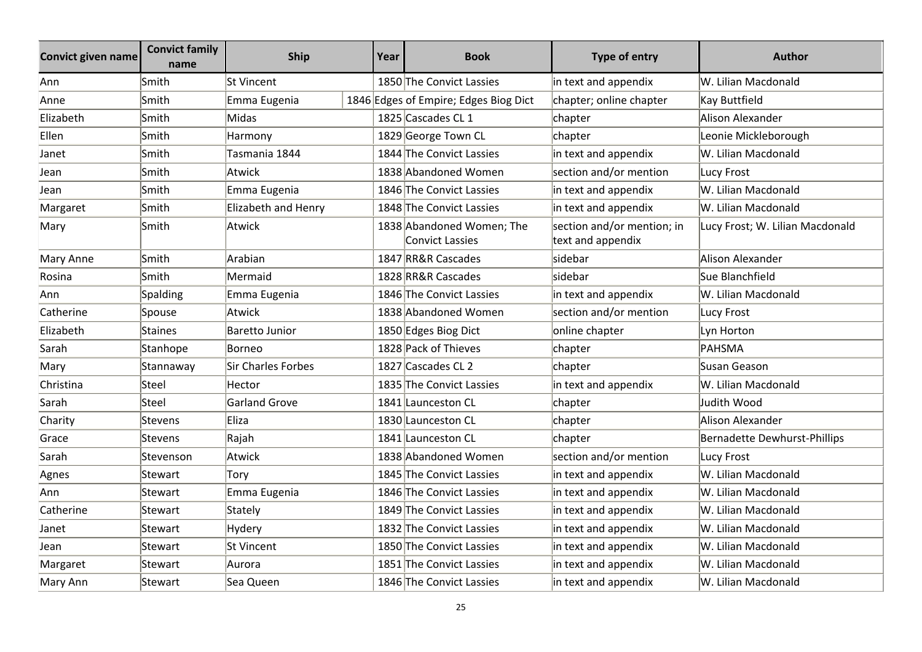| <b>Convict given name</b> | <b>Convict family</b><br>name | <b>Ship</b>           | Year | <b>Book</b>                                         | Type of entry                                   | <b>Author</b>                       |
|---------------------------|-------------------------------|-----------------------|------|-----------------------------------------------------|-------------------------------------------------|-------------------------------------|
| Ann                       | Smith                         | <b>St Vincent</b>     |      | 1850 The Convict Lassies                            | in text and appendix                            | W. Lilian Macdonald                 |
| Anne                      | Smith                         | Emma Eugenia          |      | 1846 Edges of Empire; Edges Biog Dict               | chapter; online chapter                         | Kay Buttfield                       |
| Elizabeth                 | Smith                         | Midas                 |      | 1825 Cascades CL 1                                  | chapter                                         | Alison Alexander                    |
| Ellen                     | Smith                         | Harmony               |      | 1829 George Town CL                                 | chapter                                         | Leonie Mickleborough                |
| Janet                     | Smith                         | Tasmania 1844         |      | 1844 The Convict Lassies                            | in text and appendix                            | W. Lilian Macdonald                 |
| Jean                      | Smith                         | Atwick                |      | 1838 Abandoned Women                                | section and/or mention                          | Lucy Frost                          |
| Jean                      | Smith                         | Emma Eugenia          |      | 1846 The Convict Lassies                            | in text and appendix                            | W. Lilian Macdonald                 |
| Margaret                  | Smith                         | Elizabeth and Henry   |      | 1848 The Convict Lassies                            | in text and appendix                            | W. Lilian Macdonald                 |
| Mary                      | Smith                         | <b>Atwick</b>         |      | 1838 Abandoned Women; The<br><b>Convict Lassies</b> | section and/or mention; in<br>text and appendix | Lucy Frost; W. Lilian Macdonald     |
| Mary Anne                 | Smith                         | Arabian               |      | 1847 RR&R Cascades                                  | sidebar                                         | <b>Alison Alexander</b>             |
| Rosina                    | Smith                         | Mermaid               |      | 1828 RR&R Cascades                                  | lsidebar                                        | Sue Blanchfield                     |
| Ann                       | <b>Spalding</b>               | Emma Eugenia          |      | 1846 The Convict Lassies                            | in text and appendix                            | W. Lilian Macdonald                 |
| Catherine                 | Spouse                        | <b>Atwick</b>         |      | 1838 Abandoned Women                                | section and/or mention                          | Lucy Frost                          |
| Elizabeth                 | Staines                       | <b>Baretto Junior</b> |      | 1850 Edges Biog Dict                                | online chapter                                  | Lyn Horton                          |
| Sarah                     | Stanhope                      | Borneo                |      | 1828 Pack of Thieves                                | chapter                                         | PAHSMA                              |
| Mary                      | Stannaway                     | Sir Charles Forbes    |      | 1827 Cascades CL 2                                  | chapter                                         | Susan Geason                        |
| Christina                 | Steel                         | Hector                |      | 1835 The Convict Lassies                            | in text and appendix                            | W. Lilian Macdonald                 |
| Sarah                     | Steel                         | <b>Garland Grove</b>  |      | 1841 Launceston CL                                  | chapter                                         | Judith Wood                         |
| Charity                   | Stevens                       | Eliza                 |      | 1830 Launceston CL                                  | chapter                                         | Alison Alexander                    |
| Grace                     | Stevens                       | Rajah                 |      | 1841 Launceston CL                                  | chapter                                         | <b>Bernadette Dewhurst-Phillips</b> |
| Sarah                     | Stevenson                     | Atwick                |      | 1838 Abandoned Women                                | section and/or mention                          | <b>Lucy Frost</b>                   |
| Agnes                     | Stewart                       | Tory                  |      | 1845 The Convict Lassies                            | in text and appendix                            | W. Lilian Macdonald                 |
| Ann                       | Stewart                       | Emma Eugenia          |      | 1846 The Convict Lassies                            | in text and appendix                            | W. Lilian Macdonald                 |
| Catherine                 | Stewart                       | Stately               |      | 1849 The Convict Lassies                            | in text and appendix                            | W. Lilian Macdonald                 |
| Janet                     | Stewart                       | Hydery                |      | 1832 The Convict Lassies                            | in text and appendix                            | W. Lilian Macdonald                 |
| Jean                      | Stewart                       | St Vincent            |      | 1850 The Convict Lassies                            | in text and appendix                            | W. Lilian Macdonald                 |
| Margaret                  | Stewart                       | Aurora                |      | 1851 The Convict Lassies                            | in text and appendix                            | W. Lilian Macdonald                 |
| Mary Ann                  | Stewart                       | Sea Queen             |      | 1846 The Convict Lassies                            | in text and appendix                            | W. Lilian Macdonald                 |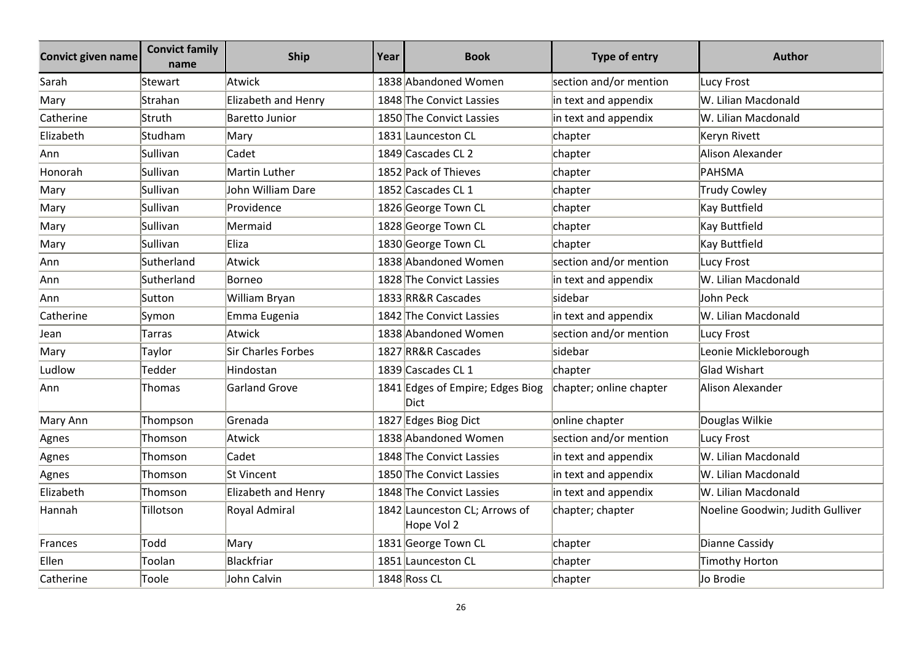| Convict given name | <b>Convict family</b><br>name | <b>Ship</b>          | Year | <b>Book</b>                                 | Type of entry           | <b>Author</b>                    |
|--------------------|-------------------------------|----------------------|------|---------------------------------------------|-------------------------|----------------------------------|
| Sarah              | Stewart                       | Atwick               |      | 1838 Abandoned Women                        | section and/or mention  | Lucy Frost                       |
| Mary               | Strahan                       | Elizabeth and Henry  |      | 1848 The Convict Lassies                    | in text and appendix    | W. Lilian Macdonald              |
| Catherine          | Struth                        | Baretto Junior       |      | 1850 The Convict Lassies                    | in text and appendix    | W. Lilian Macdonald              |
| Elizabeth          | Studham                       | Mary                 |      | 1831 Launceston CL                          | chapter                 | Keryn Rivett                     |
| Ann                | Sullivan                      | Cadet                |      | 1849 Cascades CL 2                          | chapter                 | Alison Alexander                 |
| Honorah            | Sullivan                      | Martin Luther        |      | 1852 Pack of Thieves                        | chapter                 | PAHSMA                           |
| Mary               | Sullivan                      | John William Dare    |      | 1852 Cascades CL 1                          | chapter                 | Trudy Cowley                     |
| Mary               | Sullivan                      | Providence           |      | 1826 George Town CL                         | chapter                 | Kay Buttfield                    |
| Mary               | Sullivan                      | Mermaid              |      | 1828 George Town CL                         | chapter                 | Kay Buttfield                    |
| Mary               | Sullivan                      | Eliza                |      | 1830 George Town CL                         | chapter                 | Kay Buttfield                    |
| Ann                | Sutherland                    | Atwick               |      | 1838 Abandoned Women                        | section and/or mention  | Lucy Frost                       |
| Ann                | Sutherland                    | Borneo               |      | 1828 The Convict Lassies                    | in text and appendix    | W. Lilian Macdonald              |
| Ann                | Sutton                        | William Bryan        |      | 1833 RR&R Cascades                          | sidebar                 | John Peck                        |
| Catherine          | Symon                         | Emma Eugenia         |      | 1842 The Convict Lassies                    | in text and appendix    | W. Lilian Macdonald              |
| Jean               | Tarras                        | Atwick               |      | 1838 Abandoned Women                        | section and/or mention  | Lucy Frost                       |
| Mary               | Taylor                        | Sir Charles Forbes   |      | 1827 RR&R Cascades                          | sidebar                 | Leonie Mickleborough             |
| Ludlow             | Tedder                        | Hindostan            |      | 1839 Cascades CL 1                          | chapter                 | <b>Glad Wishart</b>              |
| Ann                | Thomas                        | <b>Garland Grove</b> |      | 1841 Edges of Empire; Edges Biog<br>Dict    | chapter; online chapter | Alison Alexander                 |
| Mary Ann           | Thompson                      | Grenada              |      | 1827 Edges Biog Dict                        | online chapter          | Douglas Wilkie                   |
| Agnes              | Thomson                       | Atwick               |      | 1838 Abandoned Women                        | section and/or mention  | Lucy Frost                       |
| Agnes              | Thomson                       | Cadet                |      | 1848 The Convict Lassies                    | in text and appendix    | W. Lilian Macdonald              |
| Agnes              | Thomson                       | St Vincent           |      | 1850 The Convict Lassies                    | in text and appendix    | W. Lilian Macdonald              |
| Elizabeth          | Thomson                       | Elizabeth and Henry  |      | 1848 The Convict Lassies                    | in text and appendix    | W. Lilian Macdonald              |
| Hannah             | Tillotson                     | Royal Admiral        |      | 1842 Launceston CL; Arrows of<br>Hope Vol 2 | chapter; chapter        | Noeline Goodwin; Judith Gulliver |
| Frances            | Todd                          | Mary                 |      | 1831 George Town CL                         | chapter                 | Dianne Cassidy                   |
| Ellen              | Toolan                        | Blackfriar           |      | 1851 Launceston CL                          | chapter                 | <b>Timothy Horton</b>            |
| Catherine          | Toole                         | John Calvin          |      | 1848 Ross CL                                | chapter                 | Jo Brodie                        |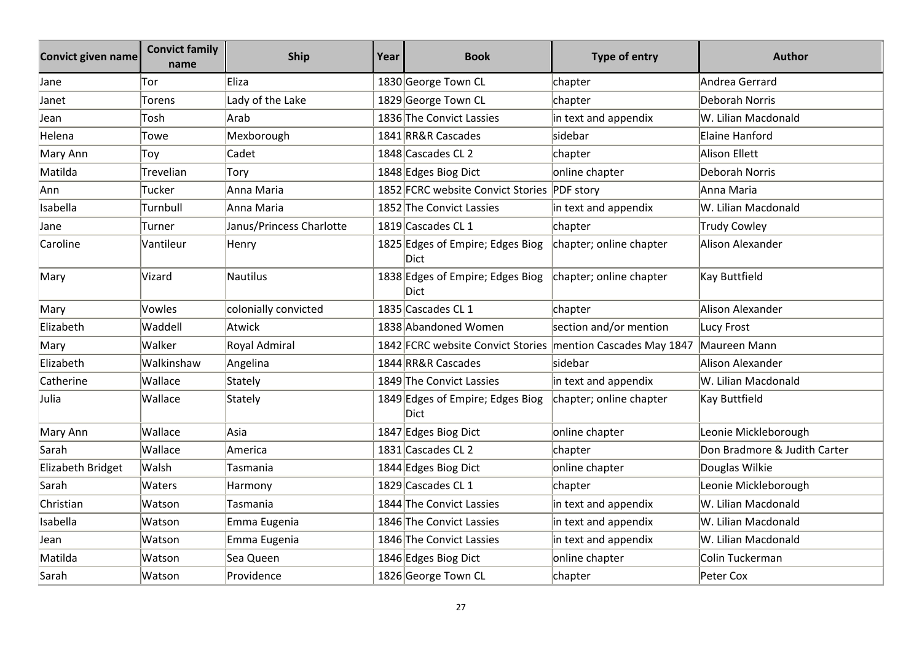| <b>Convict given name</b> | <b>Convict family</b><br>name | <b>Ship</b>              | Year | <b>Book</b>                                                 | <b>Type of entry</b>    | <b>Author</b>                |
|---------------------------|-------------------------------|--------------------------|------|-------------------------------------------------------------|-------------------------|------------------------------|
| Jane                      | Tor                           | Eliza                    |      | 1830 George Town CL                                         | chapter                 | Andrea Gerrard               |
| Janet                     | Torens                        | Lady of the Lake         |      | 1829 George Town CL                                         | chapter                 | Deborah Norris               |
| Jean                      | Tosh                          | Arab                     |      | 1836 The Convict Lassies                                    | in text and appendix    | W. Lilian Macdonald          |
| Helena                    | Towe                          | Mexborough               |      | 1841 RR&R Cascades                                          | sidebar                 | Elaine Hanford               |
| Mary Ann                  | Toy                           | Cadet                    |      | 1848 Cascades CL 2                                          | chapter                 | Alison Ellett                |
| Matilda                   | Trevelian                     | Tory                     |      | 1848 Edges Biog Dict                                        | online chapter          | Deborah Norris               |
| Ann                       | Tucker                        | Anna Maria               |      | 1852 FCRC website Convict Stories PDF story                 |                         | Anna Maria                   |
| Isabella                  | Turnbull                      | Anna Maria               |      | 1852 The Convict Lassies                                    | in text and appendix    | W. Lilian Macdonald          |
| Jane                      | Turner                        | Janus/Princess Charlotte |      | 1819 Cascades CL 1                                          | chapter                 | <b>Trudy Cowley</b>          |
| Caroline                  | Vantileur                     | Henry                    |      | 1825 Edges of Empire; Edges Biog<br>Dict                    | chapter; online chapter | Alison Alexander             |
| Mary                      | Vizard                        | Nautilus                 |      | 1838 Edges of Empire; Edges Biog<br>Dict                    | chapter; online chapter | Kay Buttfield                |
| Mary                      | Vowles                        | colonially convicted     |      | 1835 Cascades CL 1                                          | chapter                 | Alison Alexander             |
| Elizabeth                 | Waddell                       | Atwick                   |      | 1838 Abandoned Women                                        | section and/or mention  | <b>Lucy Frost</b>            |
| Mary                      | Walker                        | Royal Admiral            |      | 1842 FCRC website Convict Stories mention Cascades May 1847 |                         | Maureen Mann                 |
| Elizabeth                 | Walkinshaw                    | Angelina                 |      | 1844 RR&R Cascades                                          | sidebar                 | Alison Alexander             |
| Catherine                 | Wallace                       | Stately                  |      | 1849 The Convict Lassies                                    | in text and appendix    | W. Lilian Macdonald          |
| Julia                     | Wallace                       | Stately                  |      | 1849 Edges of Empire; Edges Biog<br><b>Dict</b>             | chapter; online chapter | Kay Buttfield                |
| Mary Ann                  | Wallace                       | Asia                     |      | 1847 Edges Biog Dict                                        | online chapter          | Leonie Mickleborough         |
| Sarah                     | Wallace                       | America                  |      | 1831 Cascades CL 2                                          | chapter                 | Don Bradmore & Judith Carter |
| Elizabeth Bridget         | Walsh                         | Tasmania                 |      | 1844 Edges Biog Dict                                        | online chapter          | Douglas Wilkie               |
| Sarah                     | Waters                        | Harmony                  |      | 1829 Cascades CL 1                                          | chapter                 | Leonie Mickleborough         |
| Christian                 | Watson                        | Tasmania                 |      | 1844 The Convict Lassies                                    | in text and appendix    | W. Lilian Macdonald          |
| Isabella                  | Watson                        | Emma Eugenia             |      | 1846 The Convict Lassies                                    | in text and appendix    | W. Lilian Macdonald          |
| Jean                      | Watson                        | Emma Eugenia             |      | 1846 The Convict Lassies                                    | in text and appendix    | W. Lilian Macdonald          |
| Matilda                   | Watson                        | Sea Queen                |      | 1846 Edges Biog Dict                                        | online chapter          | Colin Tuckerman              |
| Sarah                     | Watson                        | Providence               |      | 1826 George Town CL                                         | chapter                 | Peter Cox                    |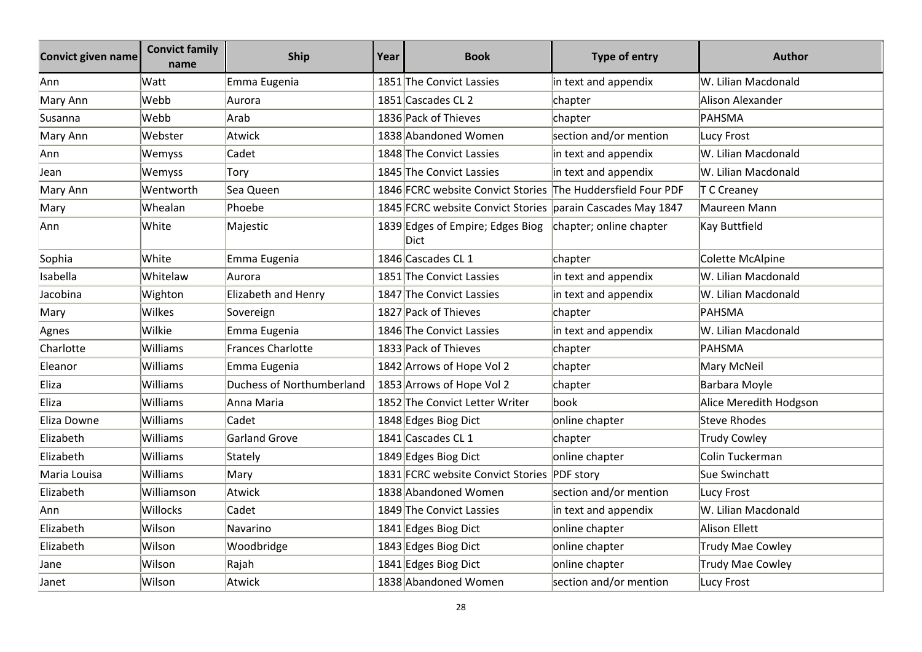| <b>Convict given name</b> | <b>Convict family</b><br>name | <b>Ship</b>                      | Year | <b>Book</b>                                                 | <b>Type of entry</b>    | <b>Author</b>           |
|---------------------------|-------------------------------|----------------------------------|------|-------------------------------------------------------------|-------------------------|-------------------------|
| Ann                       | Watt                          | Emma Eugenia                     |      | 1851 The Convict Lassies                                    | in text and appendix    | W. Lilian Macdonald     |
| Mary Ann                  | Webb                          | Aurora                           |      | 1851 Cascades CL 2                                          | chapter                 | Alison Alexander        |
| Susanna                   | Webb                          | Arab                             |      | 1836 Pack of Thieves                                        | chapter                 | PAHSMA                  |
| Mary Ann                  | Webster                       | Atwick                           |      | 1838 Abandoned Women                                        | section and/or mention  | Lucy Frost              |
| Ann                       | Wemyss                        | Cadet                            |      | 1848 The Convict Lassies                                    | in text and appendix    | W. Lilian Macdonald     |
| Jean                      | Wemyss                        | Tory                             |      | 1845 The Convict Lassies                                    | in text and appendix    | W. Lilian Macdonald     |
| Mary Ann                  | Wentworth                     | Sea Queen                        |      | 1846 FCRC website Convict Stories The Huddersfield Four PDF |                         | T C Creaney             |
| Mary                      | Whealan                       | Phoebe                           |      | 1845 FCRC website Convict Stories parain Cascades May 1847  |                         | Maureen Mann            |
| Ann                       | White                         | Majestic                         |      | 1839 Edges of Empire; Edges Biog<br>Dict                    | chapter; online chapter | Kay Buttfield           |
| Sophia                    | White                         | Emma Eugenia                     |      | 1846 Cascades CL 1                                          | chapter                 | Colette McAlpine        |
| Isabella                  | Whitelaw                      | Aurora                           |      | 1851 The Convict Lassies                                    | in text and appendix    | W. Lilian Macdonald     |
| Jacobina                  | Wighton                       | Elizabeth and Henry              |      | 1847 The Convict Lassies                                    | in text and appendix    | W. Lilian Macdonald     |
| Mary                      | Wilkes                        | Sovereign                        |      | 1827 Pack of Thieves                                        | chapter                 | PAHSMA                  |
| Agnes                     | Wilkie                        | Emma Eugenia                     |      | 1846 The Convict Lassies                                    | in text and appendix    | W. Lilian Macdonald     |
| Charlotte                 | Williams                      | <b>Frances Charlotte</b>         |      | 1833 Pack of Thieves                                        | chapter                 | PAHSMA                  |
| Eleanor                   | Williams                      | Emma Eugenia                     |      | 1842 Arrows of Hope Vol 2                                   | chapter                 | Mary McNeil             |
| Eliza                     | Williams                      | <b>Duchess of Northumberland</b> |      | 1853 Arrows of Hope Vol 2                                   | chapter                 | Barbara Moyle           |
| Eliza                     | Williams                      | Anna Maria                       |      | 1852 The Convict Letter Writer                              | lbook                   | Alice Meredith Hodgson  |
| Eliza Downe               | Williams                      | Cadet                            |      | 1848 Edges Biog Dict                                        | online chapter          | <b>Steve Rhodes</b>     |
| Elizabeth                 | Williams                      | <b>Garland Grove</b>             |      | 1841 Cascades CL 1                                          | chapter                 | <b>Trudy Cowley</b>     |
| Elizabeth                 | Williams                      | Stately                          |      | 1849 Edges Biog Dict                                        | online chapter          | Colin Tuckerman         |
| Maria Louisa              | Williams                      | Mary                             |      | 1831 FCRC website Convict Stories PDF story                 |                         | Sue Swinchatt           |
| Elizabeth                 | Williamson                    | Atwick                           |      | 1838 Abandoned Women                                        | section and/or mention  | Lucy Frost              |
| Ann                       | Willocks                      | Cadet                            |      | 1849 The Convict Lassies                                    | in text and appendix    | W. Lilian Macdonald     |
| Elizabeth                 | Wilson                        | Navarino                         |      | 1841 Edges Biog Dict                                        | online chapter          | <b>Alison Ellett</b>    |
| Elizabeth                 | Wilson                        | Woodbridge                       |      | 1843 Edges Biog Dict                                        | online chapter          | <b>Trudy Mae Cowley</b> |
| Jane                      | Wilson                        | Rajah                            |      | 1841 Edges Biog Dict                                        | online chapter          | <b>Trudy Mae Cowley</b> |
| Janet                     | Wilson                        | Atwick                           |      | 1838 Abandoned Women                                        | section and/or mention  | Lucy Frost              |